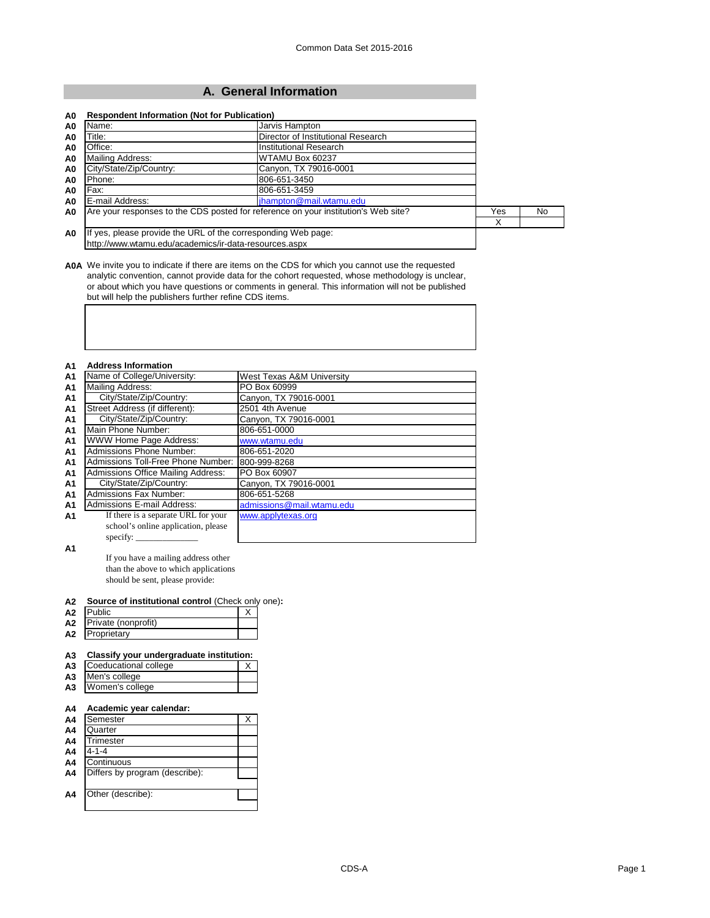# **A. General Information**

| Name:                   | Jarvis Hampton                                                                     |     |     |
|-------------------------|------------------------------------------------------------------------------------|-----|-----|
| Title:                  | Director of Institutional Research                                                 |     |     |
| Office:                 | Institutional Research                                                             |     |     |
| Mailing Address:        | WTAMU Box 60237                                                                    |     |     |
| City/State/Zip/Country: | Canyon, TX 79016-0001                                                              |     |     |
| Phone:                  | 806-651-3450                                                                       |     |     |
| Fax:                    | 806-651-3459                                                                       |     |     |
| E-mail Address:         | jhampton@mail.wtamu.edu                                                            |     |     |
|                         | Are your responses to the CDS posted for reference on your institution's Web site? | Yes | No. |
|                         |                                                                                    | х   |     |

**A0A** We invite you to indicate if there are items on the CDS for which you cannot use the requested analytic convention, cannot provide data for the cohort requested, whose methodology is unclear, or about which you have questions or comments in general. This information will not be published but will help the publishers further refine CDS items.

# **A1 Address Information**

| A <sub>1</sub> | Name of College/University:         | West Texas A&M University |
|----------------|-------------------------------------|---------------------------|
| A <sub>1</sub> | Mailing Address:                    | PO Box 60999              |
| A <sub>1</sub> | City/State/Zip/Country:             | Canyon, TX 79016-0001     |
| A <sub>1</sub> | Street Address (if different):      | 2501 4th Avenue           |
| A <sub>1</sub> | City/State/Zip/Country:             | Canyon, TX 79016-0001     |
| <b>A1</b>      | Main Phone Number:                  | 806-651-0000              |
| A <sub>1</sub> | WWW Home Page Address:              | www.wtamu.edu             |
| A <sub>1</sub> | <b>Admissions Phone Number:</b>     | 806-651-2020              |
| A <sub>1</sub> | Admissions Toll-Free Phone Number:  | 800-999-8268              |
| A <sub>1</sub> | Admissions Office Mailing Address:  | PO Box 60907              |
| A <sub>1</sub> | City/State/Zip/Country:             | Canyon, TX 79016-0001     |
| A <sub>1</sub> | <b>Admissions Fax Number:</b>       | 806-651-5268              |
| A <sub>1</sub> | <b>Admissions E-mail Address:</b>   | admissions@mail.wtamu.edu |
| A <sub>1</sub> | If there is a separate URL for your | www.applytexas.org        |
|                | school's online application, please |                           |
|                |                                     |                           |

**A1**

If you have a mailing address other than the above to which applications should be sent, please provide:

#### **A2 Source of institutional control** (Check only one)**:**

| A2 | oublicי             |  |
|----|---------------------|--|
| А2 | Private (nonprofit) |  |
| Α2 | Proprietarv         |  |

## **A3 Classify your undergraduate institution:**

| A3 Coeducational college |  |
|--------------------------|--|
| A3 Men's college         |  |
| A3 Women's college       |  |

#### **A4 Academic year calendar:**

| A4             | Semester                       |  |
|----------------|--------------------------------|--|
| A <sub>4</sub> | Quarter                        |  |
| A <sub>4</sub> | Trimester                      |  |
| A <sub>4</sub> | $4 - 1 - 4$                    |  |
| A <sub>4</sub> | Continuous                     |  |
| A4             | Differs by program (describe): |  |
|                |                                |  |
| A4             | Other (describe):              |  |
|                |                                |  |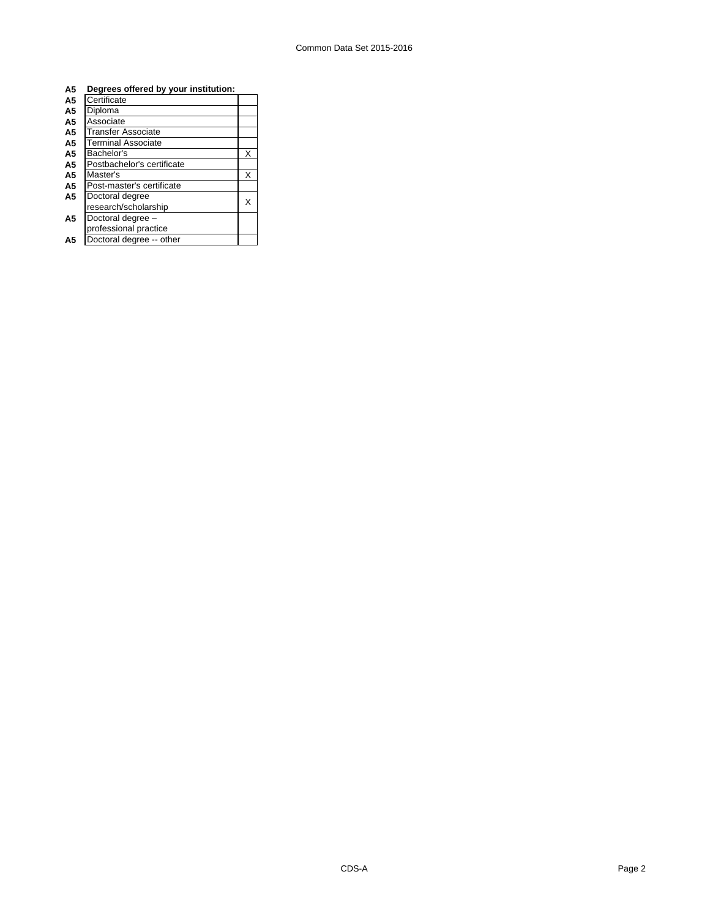| A <sub>5</sub> | Degrees offered by your institution: |   |
|----------------|--------------------------------------|---|
| A <sub>5</sub> | Certificate                          |   |
| A5             | Diploma                              |   |
| A5             | Associate                            |   |
| A5             | Transfer Associate                   |   |
| A5             | <b>Terminal Associate</b>            |   |
| A5             | Bachelor's                           | X |
| A <sub>5</sub> | Postbachelor's certificate           |   |
| A5             | Master's                             | X |
| A <sub>5</sub> | Post-master's certificate            |   |
| A5             | Doctoral degree                      | x |
|                | research/scholarship                 |   |
| A <sub>5</sub> | Doctoral degree -                    |   |
|                | professional practice                |   |
| А5             | Doctoral degree -- other             |   |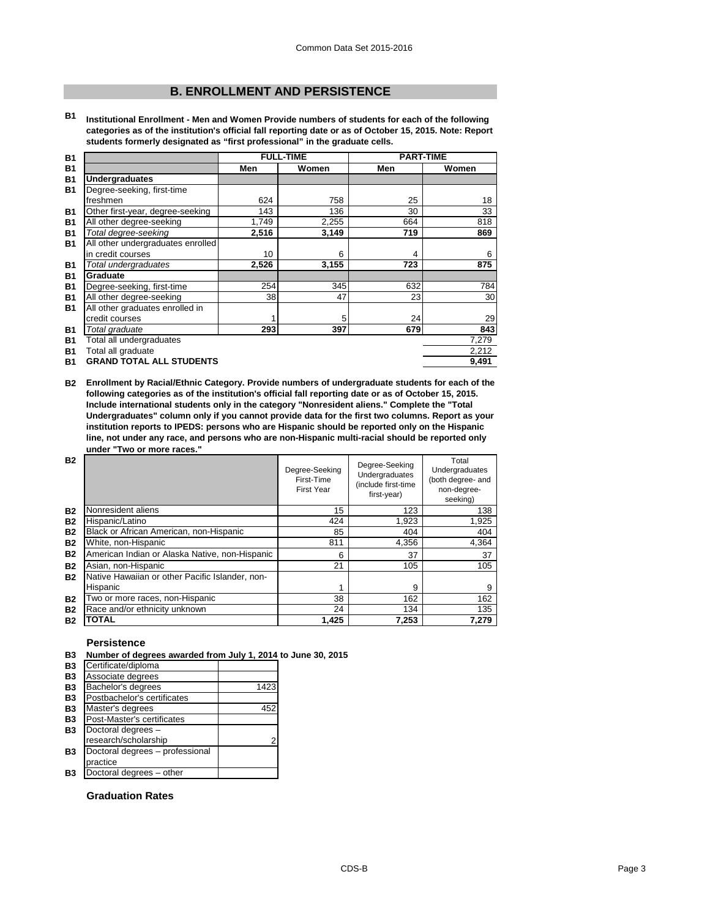# **B. ENROLLMENT AND PERSISTENCE**

**B1 Institutional Enrollment - Men and Women Provide numbers of students for each of the following categories as of the institution's official fall reporting date or as of October 15, 2015. Note: Report students formerly designated as "first professional" in the graduate cells.**

| <b>B1</b> |                                   | <b>FULL-TIME</b> |       | <b>PART-TIME</b> |       |
|-----------|-----------------------------------|------------------|-------|------------------|-------|
| <b>B1</b> |                                   | Men              | Women | Men              | Women |
| <b>B1</b> | <b>Undergraduates</b>             |                  |       |                  |       |
| <b>B1</b> | Degree-seeking, first-time        |                  |       |                  |       |
|           | freshmen                          | 624              | 758   | 25               | 18    |
| <b>B1</b> | Other first-year, degree-seeking  | 143              | 136   | 30               | 33    |
| <b>B1</b> | All other degree-seeking          | 1,749            | 2,255 | 664              | 818   |
| <b>B1</b> | Total degree-seeking              | 2,516            | 3,149 | 719              | 869   |
| <b>B1</b> | All other undergraduates enrolled |                  |       |                  |       |
|           | in credit courses                 | 10               | 6     | 4                | 6     |
| <b>B1</b> | Total undergraduates              | 2,526            | 3,155 | 723              | 875   |
| <b>B1</b> | Graduate                          |                  |       |                  |       |
| <b>B1</b> | Degree-seeking, first-time        | 254              | 345   | 632              | 784   |
| <b>B1</b> | All other degree-seeking          | 38               | 47    | 23               | 30    |
| <b>B1</b> | All other graduates enrolled in   |                  |       |                  |       |
|           | credit courses                    |                  | 5     | 24               | 29    |
| <b>B1</b> | Total graduate                    | 293              | 397   | 679              | 843   |
| <b>B1</b> | Total all undergraduates          |                  |       |                  | 7,279 |
| <b>B1</b> | Total all graduate                |                  |       |                  | 2,212 |
| <b>B1</b> | <b>GRAND TOTAL ALL STUDENTS</b>   |                  |       |                  | 9,491 |

**B2 Enrollment by Racial/Ethnic Category. Provide numbers of undergraduate students for each of the following categories as of the institution's official fall reporting date or as of October 15, 2015. Include international students only in the category "Nonresident aliens." Complete the "Total Undergraduates" column only if you cannot provide data for the first two columns. Report as your institution reports to IPEDS: persons who are Hispanic should be reported only on the Hispanic line, not under any race, and persons who are non-Hispanic multi-racial should be reported only under "Two or more races."** 

| <b>B2</b> |                                                 | Degree-Seeking<br>First-Time<br><b>First Year</b> | Degree-Seeking<br>Undergraduates<br>(include first-time<br>first-year) | Total<br>Undergraduates<br>(both degree- and<br>non-degree-<br>seeking) |
|-----------|-------------------------------------------------|---------------------------------------------------|------------------------------------------------------------------------|-------------------------------------------------------------------------|
| <b>B2</b> | Nonresident aliens                              | 15                                                | 123                                                                    | 138                                                                     |
| <b>B2</b> | Hispanic/Latino                                 | 424                                               | 1.923                                                                  | 1,925                                                                   |
| <b>B2</b> | Black or African American, non-Hispanic         | 85                                                | 404                                                                    | 404                                                                     |
| <b>B2</b> | White, non-Hispanic                             | 811                                               | 4,356                                                                  | 4,364                                                                   |
| <b>B2</b> | American Indian or Alaska Native, non-Hispanic  | 6                                                 | 37                                                                     | 37                                                                      |
| <b>B2</b> | Asian, non-Hispanic                             | 21                                                | 105                                                                    | 105                                                                     |
| <b>B2</b> | Native Hawaiian or other Pacific Islander, non- |                                                   |                                                                        |                                                                         |
|           | Hispanic                                        |                                                   | 9                                                                      | 9                                                                       |
| <b>B2</b> | Two or more races, non-Hispanic                 | 38                                                | 162                                                                    | 162                                                                     |
| <b>B2</b> | Race and/or ethnicity unknown                   | 24                                                | 134                                                                    | 135                                                                     |
| <b>B2</b> | <b>TOTAL</b>                                    | 1.425                                             | 7.253                                                                  | 7.279                                                                   |

### **Persistence**

#### **B3 Number of degrees awarded from July 1, 2014 to June 30, 2015**

| <b>B3</b> | Certificate/diploma             |      |
|-----------|---------------------------------|------|
| <b>B3</b> | Associate degrees               |      |
| <b>B3</b> | Bachelor's degrees              | 1423 |
| <b>B3</b> | Postbachelor's certificates     |      |
| <b>B3</b> | Master's degrees                | 452  |
| <b>B3</b> | Post-Master's certificates      |      |
| <b>B3</b> | Doctoral degrees -              |      |
|           | research/scholarship            | 2    |
| <b>B3</b> | Doctoral degrees - professional |      |
|           | practice                        |      |
| B3        | Doctoral degrees - other        |      |

## **Graduation Rates**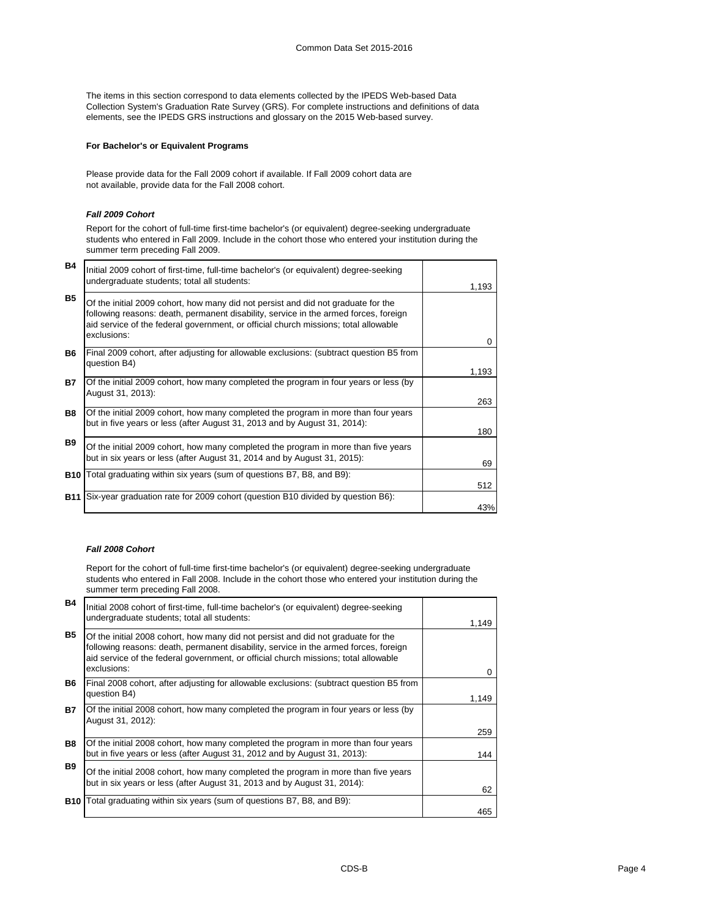The items in this section correspond to data elements collected by the IPEDS Web-based Data Collection System's Graduation Rate Survey (GRS). For complete instructions and definitions of data elements, see the IPEDS GRS instructions and glossary on the 2015 Web-based survey.

## **For Bachelor's or Equivalent Programs**

Please provide data for the Fall 2009 cohort if available. If Fall 2009 cohort data are not available, provide data for the Fall 2008 cohort.

#### *Fall 2009 Cohort*

Report for the cohort of full-time first-time bachelor's (or equivalent) degree-seeking undergraduate students who entered in Fall 2009. Include in the cohort those who entered your institution during the summer term preceding Fall 2009.

| B4         | Initial 2009 cohort of first-time, full-time bachelor's (or equivalent) degree-seeking<br>undergraduate students; total all students:                                                                                                                                           | 1,193 |
|------------|---------------------------------------------------------------------------------------------------------------------------------------------------------------------------------------------------------------------------------------------------------------------------------|-------|
| <b>B5</b>  | Of the initial 2009 cohort, how many did not persist and did not graduate for the<br>following reasons: death, permanent disability, service in the armed forces, foreign<br>aid service of the federal government, or official church missions; total allowable<br>exclusions: | U     |
| <b>B6</b>  | Final 2009 cohort, after adjusting for allowable exclusions: (subtract question B5 from<br>question B4)                                                                                                                                                                         | 1,193 |
| <b>B7</b>  | Of the initial 2009 cohort, how many completed the program in four years or less (by<br>August 31, 2013):                                                                                                                                                                       | 263   |
| <b>B8</b>  | Of the initial 2009 cohort, how many completed the program in more than four years<br>but in five years or less (after August 31, 2013 and by August 31, 2014):                                                                                                                 | 180   |
| <b>B9</b>  | Of the initial 2009 cohort, how many completed the program in more than five years<br>but in six years or less (after August 31, 2014 and by August 31, 2015):                                                                                                                  | 69    |
| <b>B10</b> | Total graduating within six years (sum of questions B7, B8, and B9):                                                                                                                                                                                                            | 512   |
|            | <b>B11</b> Six-year graduation rate for 2009 cohort (question B10 divided by question B6):                                                                                                                                                                                      | 43%   |

## *Fall 2008 Cohort*

Report for the cohort of full-time first-time bachelor's (or equivalent) degree-seeking undergraduate students who entered in Fall 2008. Include in the cohort those who entered your institution during the summer term preceding Fall 2008.

| B4         | Initial 2008 cohort of first-time, full-time bachelor's (or equivalent) degree-seeking<br>undergraduate students; total all students:                                                                                                                                           | 1,149 |
|------------|---------------------------------------------------------------------------------------------------------------------------------------------------------------------------------------------------------------------------------------------------------------------------------|-------|
| <b>B5</b>  | Of the initial 2008 cohort, how many did not persist and did not graduate for the<br>following reasons: death, permanent disability, service in the armed forces, foreign<br>aid service of the federal government, or official church missions; total allowable<br>exclusions: | O     |
| <b>B6</b>  | Final 2008 cohort, after adjusting for allowable exclusions: (subtract question B5 from<br>question B4)                                                                                                                                                                         | 1,149 |
| <b>B7</b>  | Of the initial 2008 cohort, how many completed the program in four years or less (by<br>August 31, 2012):                                                                                                                                                                       | 259   |
| <b>B8</b>  | Of the initial 2008 cohort, how many completed the program in more than four years<br>but in five years or less (after August 31, 2012 and by August 31, 2013):                                                                                                                 | 144   |
| <b>B</b> 9 | Of the initial 2008 cohort, how many completed the program in more than five years<br>but in six years or less (after August 31, 2013 and by August 31, 2014):                                                                                                                  | 62    |
| <b>B10</b> | Total graduating within six years (sum of questions B7, B8, and B9):                                                                                                                                                                                                            | 465   |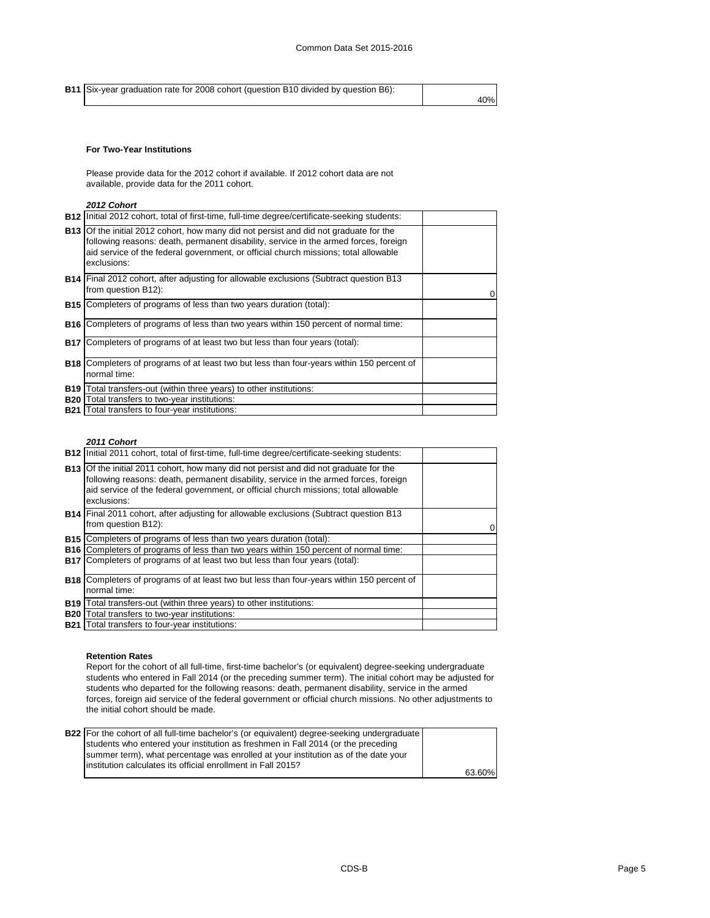**B11** Six-year graduation rate for 2008 cohort (question B10 divided by question B6): 40%

#### **For Two-Year Institutions**

Please provide data for the 2012 cohort if available. If 2012 cohort data are not available, provide data for the 2011 cohort.

#### *2012 Cohort*

|            | <b>B12</b> Initial 2012 cohort, total of first-time, full-time degree/certificate-seeking students:                                                                                                                                                                                        |  |
|------------|--------------------------------------------------------------------------------------------------------------------------------------------------------------------------------------------------------------------------------------------------------------------------------------------|--|
|            | <b>B13</b> Of the initial 2012 cohort, how many did not persist and did not graduate for the<br>following reasons: death, permanent disability, service in the armed forces, foreign<br>aid service of the federal government, or official church missions; total allowable<br>exclusions: |  |
|            | <b>B14</b> Final 2012 cohort, after adjusting for allowable exclusions (Subtract question B13<br>from question B12):                                                                                                                                                                       |  |
|            | <b>B15</b> Completers of programs of less than two years duration (total):                                                                                                                                                                                                                 |  |
|            | <b>B16</b> Completers of programs of less than two years within 150 percent of normal time:                                                                                                                                                                                                |  |
|            | <b>B17</b> Completers of programs of at least two but less than four years (total):                                                                                                                                                                                                        |  |
|            | <b>B18</b> Completers of programs of at least two but less than four-years within 150 percent of<br>normal time:                                                                                                                                                                           |  |
| <b>B19</b> | Total transfers-out (within three years) to other institutions:                                                                                                                                                                                                                            |  |
| <b>B20</b> | Total transfers to two-year institutions:                                                                                                                                                                                                                                                  |  |
|            | <b>B21</b> Total transfers to four-year institutions:                                                                                                                                                                                                                                      |  |

#### *2011 Cohort*

| <b>B12</b> Initial 2011 cohort, total of first-time, full-time degree/certificate-seeking students:                                                                                                                                                                                        |  |
|--------------------------------------------------------------------------------------------------------------------------------------------------------------------------------------------------------------------------------------------------------------------------------------------|--|
| <b>B13</b> Of the initial 2011 cohort, how many did not persist and did not graduate for the<br>following reasons: death, permanent disability, service in the armed forces, foreign<br>aid service of the federal government, or official church missions; total allowable<br>exclusions: |  |
| <b>B14</b> Final 2011 cohort, after adjusting for allowable exclusions (Subtract question B13<br>from question B12):                                                                                                                                                                       |  |
| <b>B15</b> Completers of programs of less than two years duration (total):                                                                                                                                                                                                                 |  |
| <b>B16</b> Completers of programs of less than two years within 150 percent of normal time:                                                                                                                                                                                                |  |
| <b>B17</b> Completers of programs of at least two but less than four years (total):                                                                                                                                                                                                        |  |
| <b>B18</b> Completers of programs of at least two but less than four-years within 150 percent of                                                                                                                                                                                           |  |
| normal time:                                                                                                                                                                                                                                                                               |  |
| <b>B19</b> Total transfers-out (within three years) to other institutions:                                                                                                                                                                                                                 |  |
| <b>B20</b> Total transfers to two-year institutions:                                                                                                                                                                                                                                       |  |
| <b>B21</b> Total transfers to four-year institutions:                                                                                                                                                                                                                                      |  |

#### **Retention Rates**

Report for the cohort of all full-time, first-time bachelor's (or equivalent) degree-seeking undergraduate students who entered in Fall 2014 (or the preceding summer term). The initial cohort may be adjusted for students who departed for the following reasons: death, permanent disability, service in the armed forces, foreign aid service of the federal government or official church missions. No other adjustments to the initial cohort should be made.

| <b>B22</b> For the cohort of all full-time bachelor's (or equivalent) degree-seeking undergraduate |        |
|----------------------------------------------------------------------------------------------------|--------|
| students who entered your institution as freshmen in Fall 2014 (or the preceding                   |        |
| summer term), what percentage was enrolled at your institution as of the date your                 |        |
| linstitution calculates its official enrollment in Fall 2015?                                      |        |
|                                                                                                    | 63.60% |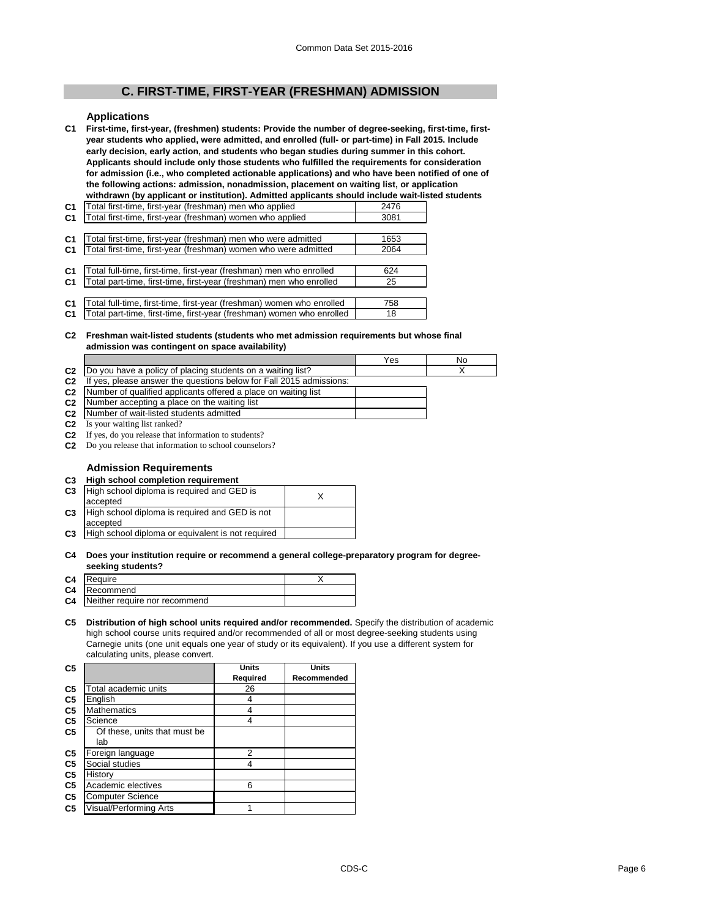## **C. FIRST-TIME, FIRST-YEAR (FRESHMAN) ADMISSION**

#### **Applications**

**C1 First-time, first-year, (freshmen) students: Provide the number of degree-seeking, first-time, firstyear students who applied, were admitted, and enrolled (full- or part-time) in Fall 2015. Include early decision, early action, and students who began studies during summer in this cohort. Applicants should include only those students who fulfilled the requirements for consideration for admission (i.e., who completed actionable applications) and who have been notified of one of the following actions: admission, nonadmission, placement on waiting list, or application withdrawn (by applicant or institution). Admitted applicants should include wait-listed students** 

| C1             | otal first-time, first-year (freshman) men who applied                | 2476 |
|----------------|-----------------------------------------------------------------------|------|
| C <sub>1</sub> | Total first-time, first-year (freshman) women who applied             | 3081 |
|                |                                                                       |      |
| C <sub>1</sub> | Total first-time, first-year (freshman) men who were admitted         | 1653 |
| C <sub>1</sub> | Total first-time, first-year (freshman) women who were admitted       | 2064 |
|                |                                                                       |      |
| C <sub>1</sub> | Total full-time, first-time, first-year (freshman) men who enrolled   | 624  |
| C <sub>1</sub> | Total part-time, first-time, first-year (freshman) men who enrolled   | 25   |
|                |                                                                       |      |
| C <sub>1</sub> | Total full-time, first-time, first-year (freshman) women who enrolled | 758  |
| C <sub>1</sub> | Total part-time, first-time, first-year (freshman) women who enrolled | 18   |
|                |                                                                       |      |

#### **C2 Freshman wait-listed students (students who met admission requirements but whose final admission was contingent on space availability)**

|        |                                                                                | es: | NO |
|--------|--------------------------------------------------------------------------------|-----|----|
| $\sim$ | list?<br>have a policy of placing students on a waiting<br>vou                 |     |    |
| co     | place applier the questions below for Fall 2015 admissions:<br>$H \cup \Omega$ |     |    |

- **C2**  $\epsilon$  answer the questions below for Fall 2015 admissions:
- **C2 C2** Number of qualified applicants offered a place on waiting list
- Number accepting a place on the waiting list
- **C2** Number of wait-listed students admitted **C2** Is your waiting list ranked?
- 
- **C2** If yes, do you release that information to students? **C2** Do you release that information to school counselors?

#### **Admission Requirements**

#### **C3 High school completion requirement**

| High school diploma is required and GED is<br>accepted |          |
|--------------------------------------------------------|----------|
| High school diploma is required and GED is not         |          |
|                                                        |          |
| High school diploma or equivalent is not required      |          |
|                                                        | accepted |

#### **C4 Does your institution require or recommend a general college-preparatory program for degreeseeking students?**

| C4 Require                       |  |
|----------------------------------|--|
| C4 Recommend                     |  |
| C4 Neither require nor recommend |  |
|                                  |  |

#### **C5 Distribution of high school units required and/or recommended.** Specify the distribution of academic high school course units required and/or recommended of all or most degree-seeking students using Carnegie units (one unit equals one year of study or its equivalent). If you use a different system for calculating units, please convert.

| C <sub>5</sub> |                              | <b>Units</b> | <b>Units</b> |
|----------------|------------------------------|--------------|--------------|
|                |                              | Required     | Recommended  |
| C <sub>5</sub> | Total academic units         | 26           |              |
| C <sub>5</sub> | English                      | 4            |              |
| C <sub>5</sub> | <b>Mathematics</b>           | 4            |              |
| C <sub>5</sub> | Science                      | 4            |              |
| C <sub>5</sub> | Of these, units that must be |              |              |
|                | lab                          |              |              |
| C5             | Foreign language             | 2            |              |
| C <sub>5</sub> | Social studies               | 4            |              |
| C5             | History                      |              |              |
| C5             | Academic electives           | 6            |              |
| C5             | <b>Computer Science</b>      |              |              |
| C <sub>5</sub> | Visual/Performing Arts       |              |              |
|                |                              |              |              |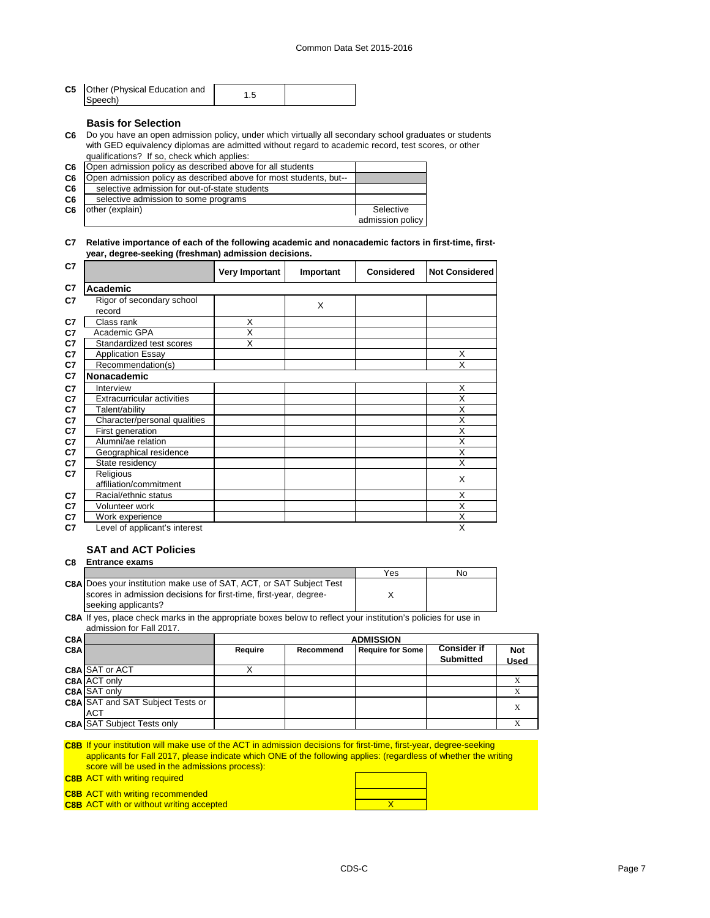| <b>C5</b> Other (Physical Education and<br>Speech) |  |  |
|----------------------------------------------------|--|--|
|----------------------------------------------------|--|--|

#### **Basis for Selection**

**C6** Do you have an open admission policy, under which virtually all secondary school graduates or students with GED equivalency diplomas are admitted without regard to academic record, test scores, or other qualifications? If so, check which applies:

| C <sub>6</sub> | Open admission policy as described above for all students         |                  |
|----------------|-------------------------------------------------------------------|------------------|
| C <sub>6</sub> | Open admission policy as described above for most students, but-- |                  |
| C6             | selective admission for out-of-state students                     |                  |
| C6             | selective admission to some programs                              |                  |
| C <sub>6</sub> | other (explain)                                                   | Selective        |
|                |                                                                   | admission policy |

#### **C7 Relative importance of each of the following academic and nonacademic factors in first-time, firstyear, degree-seeking (freshman) admission decisions.**

| C7 |                                     | Very Important          | Important | Considered | <b>Not Considered</b>   |
|----|-------------------------------------|-------------------------|-----------|------------|-------------------------|
| C7 | Academic                            |                         |           |            |                         |
| C7 | Rigor of secondary school<br>record |                         | X         |            |                         |
| C7 | Class rank                          | X                       |           |            |                         |
| C7 | Academic GPA                        | $\overline{\mathsf{x}}$ |           |            |                         |
| C7 | Standardized test scores            | X                       |           |            |                         |
| C7 | <b>Application Essay</b>            |                         |           |            | X                       |
| C7 | Recommendation(s)                   |                         |           |            | X                       |
| C7 | <b>Nonacademic</b>                  |                         |           |            |                         |
| C7 | Interview                           |                         |           |            | X                       |
| C7 | Extracurricular activities          |                         |           |            | X                       |
| C7 | Talent/ability                      |                         |           |            | X                       |
| C7 | Character/personal qualities        |                         |           |            | X                       |
| C7 | First generation                    |                         |           |            | X                       |
| C7 | Alumni/ae relation                  |                         |           |            | X                       |
| C7 | Geographical residence              |                         |           |            | X                       |
| C7 | State residency                     |                         |           |            | X                       |
| C7 | Religious                           |                         |           |            | X                       |
|    | affiliation/commitment              |                         |           |            |                         |
| C7 | Racial/ethnic status                |                         |           |            | X                       |
| C7 | Volunteer work                      |                         |           |            | X                       |
| C7 | Work experience                     |                         |           |            | $\overline{\mathsf{x}}$ |
| C7 | Level of applicant's interest       |                         |           |            | X                       |

## **SAT and ACT Policies**

#### **C8 Entrance exams**

|                                                                            | Yes | <b>NO</b> |
|----------------------------------------------------------------------------|-----|-----------|
| <b>C8A Does your institution make use of SAT, ACT, or SAT Subject Test</b> |     |           |
| scores in admission decisions for first-time, first-year, degree-          |     |           |
| seeking applicants?                                                        |     |           |

**C8A** If yes, place check marks in the appropriate boxes below to reflect your institution's policies for use in admission for Fall 2017.

| C8Al             |                                         | <b>ADMISSION</b> |           |                         |                                        |             |
|------------------|-----------------------------------------|------------------|-----------|-------------------------|----------------------------------------|-------------|
| C <sub>8</sub> A |                                         | Require          | Recommend | <b>Require for Some</b> | <b>Consider if</b><br><b>Submitted</b> | <b>Not</b>  |
|                  |                                         |                  |           |                         |                                        | <b>Used</b> |
|                  | <b>C8A SAT or ACT</b>                   |                  |           |                         |                                        |             |
|                  | <b>C8A ACT only</b>                     |                  |           |                         |                                        |             |
|                  | <b>C8A</b> SAT only                     |                  |           |                         |                                        |             |
|                  | <b>C8A SAT and SAT Subject Tests or</b> |                  |           |                         |                                        |             |
|                  | <b>ACT</b>                              |                  |           |                         |                                        |             |
|                  | <b>C8A SAT Subject Tests only</b>       |                  |           |                         |                                        |             |

| <b>C8B</b> If your institution will make use of the ACT in admission decisions for first-time, first-year, degree-seeking |  |  |
|---------------------------------------------------------------------------------------------------------------------------|--|--|
| applicants for Fall 2017, please indicate which ONE of the following applies: (regardless of whether the writing          |  |  |
| score will be used in the admissions process):                                                                            |  |  |
| <b>C8B ACT with writing required</b>                                                                                      |  |  |
| <b>C8B ACT with writing recommended</b>                                                                                   |  |  |

**C8B** X ACT with or without writing accepted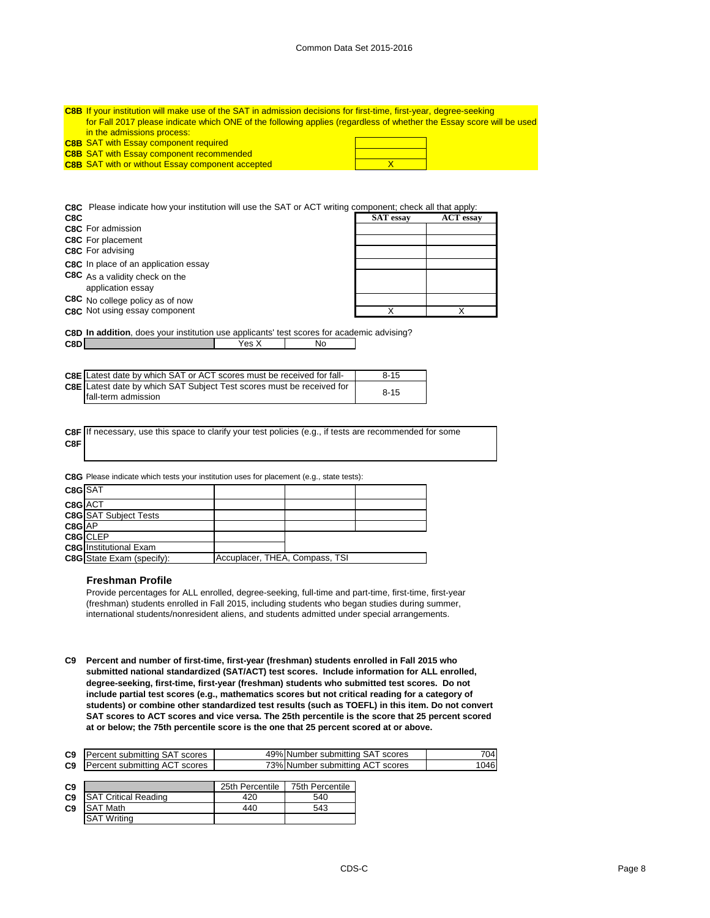| <b>C8B</b> If your institution will make use of the SAT in admission decisions for first-time, first-year, degree-seeking |  |  |  |
|---------------------------------------------------------------------------------------------------------------------------|--|--|--|
| for Fall 2017 please indicate which ONE of the following applies (regardless of whether the Essay score will be used      |  |  |  |
| in the admissions process:                                                                                                |  |  |  |
| <b>C8B SAT with Essay component required</b>                                                                              |  |  |  |
| <b>C8B SAT with Essay component recommended</b>                                                                           |  |  |  |
| <b>C8B SAT with or without Essay component accepted</b>                                                                   |  |  |  |

**C8C** Please indicate how your institution will use the SAT or ACT writing component; check all that apply:

| C8C                                                 | <b>SAT</b> essay | <b>ACT</b> essay |
|-----------------------------------------------------|------------------|------------------|
| <b>C8C</b> For admission                            |                  |                  |
| <b>C8C</b> For placement                            |                  |                  |
| <b>C8C</b> For advising                             |                  |                  |
| C8C In place of an application essay                |                  |                  |
| C8C As a validity check on the<br>application essay |                  |                  |
| C8C No college policy as of now                     |                  |                  |
| C8C Not using essay component                       |                  |                  |

**C8D In addition**, does your institution use applicants' test scores for academic advising? **C8D** Mo

| <b>C8E</b> Latest date by which SAT or ACT scores must be received for fall- | $8 - 15$ |
|------------------------------------------------------------------------------|----------|
| <b>C8E</b> Latest date by which SAT Subject Test scores must be received for | $8 - 15$ |
| fall-term admission                                                          |          |

**C8F** If necessary, use this space to clarify your test policies (e.g., if tests are recommended for some **C8F**

**C8G** Please indicate which tests your institution uses for placement (e.g., state tests):

| C8G SAT |                                  |                                |  |
|---------|----------------------------------|--------------------------------|--|
| C8G ACT |                                  |                                |  |
|         | <b>C8G</b> SAT Subject Tests     |                                |  |
| C8G AP  |                                  |                                |  |
|         | C8G CLEP                         |                                |  |
|         | <b>C8G</b> Institutional Exam    |                                |  |
|         | <b>C8G</b> State Exam (specify): | Accuplacer, THEA, Compass, TSI |  |

#### **Freshman Profile**

Provide percentages for ALL enrolled, degree-seeking, full-time and part-time, first-time, first-year (freshman) students enrolled in Fall 2015, including students who began studies during summer, international students/nonresident aliens, and students admitted under special arrangements.

**C9 Percent and number of first-time, first-year (freshman) students enrolled in Fall 2015 who submitted national standardized (SAT/ACT) test scores. Include information for ALL enrolled, degree-seeking, first-time, first-year (freshman) students who submitted test scores. Do not include partial test scores (e.g., mathematics scores but not critical reading for a category of students) or combine other standardized test results (such as TOEFL) in this item. Do not convert SAT scores to ACT scores and vice versa. The 25th percentile is the score that 25 percent scored at or below; the 75th percentile score is the one that 25 percent scored at or above.**

| C <sub>9</sub> | ⊇ercent submitting SAT scores    | 49% Number<br>scores<br>∵submittina SAT | 704 |
|----------------|----------------------------------|-----------------------------------------|-----|
| C <sub>9</sub> | Percent submitting ACT<br>scores | 73% Number submitting ACT<br>scores     | 046 |

| C <sub>9</sub> |                             | 25th Percentile | 75th Percentile |
|----------------|-----------------------------|-----------------|-----------------|
| C <sub>9</sub> | <b>SAT Critical Reading</b> | 420             | 540             |
| C <sub>9</sub> | <b>SAT Math</b>             | 440             | 543             |
|                | <b>SAT Writing</b>          |                 |                 |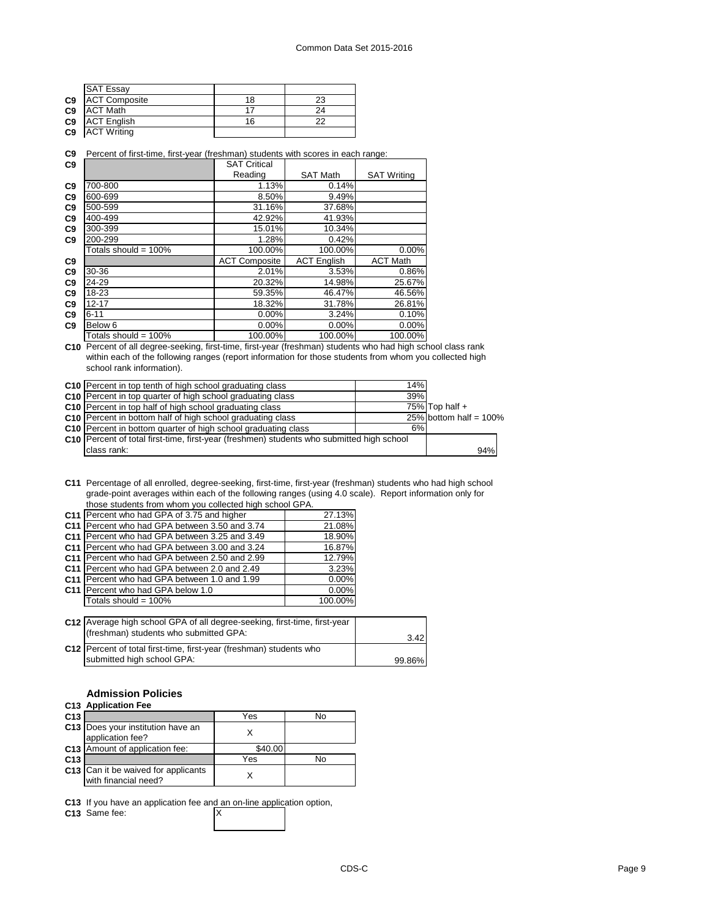|                | <b>SAT Essay</b>     |    |    |
|----------------|----------------------|----|----|
| C <sub>9</sub> | <b>ACT Composite</b> | 18 | 23 |
| C <sub>9</sub> | <b>ACT Math</b>      |    | 24 |
| C <sub>9</sub> | <b>ACT English</b>   | 16 | つつ |
| C <sub>9</sub> | <b>ACT Writing</b>   |    |    |
|                |                      |    |    |

**C9** Percent of first-time, first-year (freshman) students with scores in each range:

| C9             |                         | <b>SAT Critical</b>  |                    |                    |
|----------------|-------------------------|----------------------|--------------------|--------------------|
|                |                         | Reading              | <b>SAT Math</b>    | <b>SAT Writing</b> |
| C9             | 700-800                 | 1.13%                | 0.14%              |                    |
| C <sub>9</sub> | 600-699                 | 8.50%                | 9.49%              |                    |
| C <sub>9</sub> | 500-599                 | 31.16%               | 37.68%             |                    |
| C <sub>9</sub> | 400-499                 | 42.92%               | 41.93%             |                    |
| C <sub>9</sub> | 300-399                 | 15.01%               | 10.34%             |                    |
| C <sub>9</sub> | 200-299                 | 1.28%                | 0.42%              |                    |
|                | Totals should = $100\%$ | 100.00%              | 100.00%            | 0.00%              |
| C9             |                         | <b>ACT Composite</b> | <b>ACT English</b> | <b>ACT Math</b>    |
| C9             | 30-36                   | 2.01%                | 3.53%              | 0.86%              |
| C9             | 24-29                   | 20.32%               | 14.98%             | 25.67%             |
| C <sub>9</sub> | 18-23                   | 59.35%               | 46.47%             | 46.56%             |
| C9             | 12-17                   | 18.32%               | 31.78%             | 26.81%             |
| C9             | $6 - 11$                | $0.00\%$             | 3.24%              | 0.10%              |
| C <sub>9</sub> | Below 6                 | $0.00\%$             | 0.00%              | 0.00%              |
|                | Totals should = $100\%$ | 100.00%              | 100.00%            | 100.00%            |

**C10** Percent of all degree-seeking, first-time, first-year (freshman) students who had high school class rank within each of the following ranges (report information for those students from whom you collected high school rank information).

| C10 Percent in top tenth of high school graduating class                                    | 14% |                           |
|---------------------------------------------------------------------------------------------|-----|---------------------------|
| C10 Percent in top quarter of high school graduating class                                  | 39% |                           |
| C10 Percent in top half of high school graduating class                                     |     | 75% Top half $+$          |
| C10 Percent in bottom half of high school graduating class                                  |     | 25% bottom half = $100\%$ |
| C10 Percent in bottom quarter of high school graduating class                               | 6%  |                           |
| C10   Percent of total first-time, first-year (freshmen) students who submitted high school |     |                           |
| class rank:                                                                                 |     | 94%                       |

**C11** Percentage of all enrolled, degree-seeking, first-time, first-year (freshman) students who had high school grade-point averages within each of the following ranges (using 4.0 scale). Report information only for those students from whom you collected high school GPA.

|                 | C11 Percent who had GPA of 3.75 and higher                                                                          | 27.13%   |  |
|-----------------|---------------------------------------------------------------------------------------------------------------------|----------|--|
| C <sub>11</sub> | Percent who had GPA between 3.50 and 3.74                                                                           | 21.08%   |  |
| C <sub>11</sub> | Percent who had GPA between 3.25 and 3.49                                                                           | 18.90%   |  |
| C <sub>11</sub> | Percent who had GPA between 3.00 and 3.24                                                                           | 16.87%   |  |
|                 | C <sub>11</sub> Percent who had GPA between 2.50 and 2.99                                                           | 12.79%   |  |
|                 | C11 Percent who had GPA between 2.0 and 2.49                                                                        | 3.23%    |  |
| C <sub>11</sub> | Percent who had GPA between 1.0 and 1.99                                                                            | $0.00\%$ |  |
|                 | C <sub>11</sub> Percent who had GPA below 1.0                                                                       | $0.00\%$ |  |
|                 | Totals should = $100\%$                                                                                             | 100.00%  |  |
|                 |                                                                                                                     |          |  |
|                 | C12 Average high school GPA of all degree-seeking, first-time, first-year<br>(freshman) students who submitted GPA: |          |  |

| $\frac{1}{2}$                                                       | 3.42   |
|---------------------------------------------------------------------|--------|
| C12 Percent of total first-time, first-year (freshman) students who |        |
| submitted high school GPA:                                          | 99.86% |

## **Admission Policies**

|                 | C <sub>13</sub> Application Fee                             |         |    |
|-----------------|-------------------------------------------------------------|---------|----|
| C <sub>13</sub> |                                                             | Yes     | No |
|                 | C13 Does your institution have an<br>application fee?       |         |    |
|                 | C13 Amount of application fee:                              | \$40.00 |    |
| C <sub>13</sub> |                                                             | Yes     | No |
|                 | C13 Can it be waived for applicants<br>with financial need? |         |    |

**C13** If you have an application fee and an on-line application option,

C13 Same fee: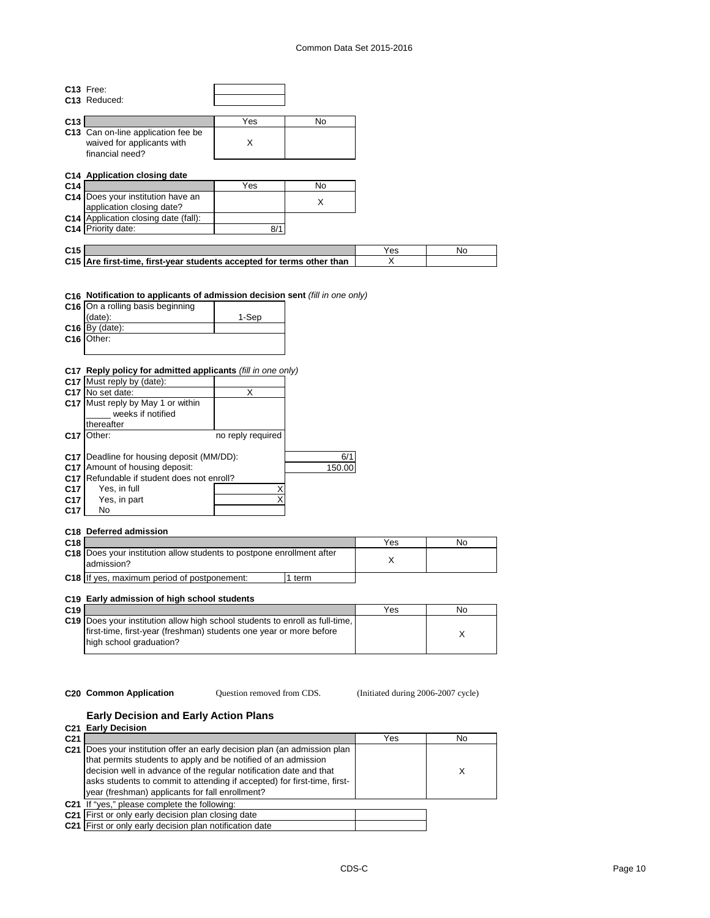#### Common Data Set 2015-2016

|                 | C13 Free:                                                                                                                                                                 |                   |           |     |    |
|-----------------|---------------------------------------------------------------------------------------------------------------------------------------------------------------------------|-------------------|-----------|-----|----|
|                 | C <sub>13</sub> Reduced:                                                                                                                                                  |                   |           |     |    |
|                 |                                                                                                                                                                           |                   |           |     |    |
| C13             |                                                                                                                                                                           | Yes               | <b>No</b> |     |    |
|                 | C13 Can on-line application fee be                                                                                                                                        |                   |           |     |    |
|                 | waived for applicants with                                                                                                                                                | X                 |           |     |    |
|                 | financial need?                                                                                                                                                           |                   |           |     |    |
|                 |                                                                                                                                                                           |                   |           |     |    |
|                 | C14 Application closing date                                                                                                                                              |                   |           |     |    |
| C <sub>14</sub> |                                                                                                                                                                           | Yes               | No        |     |    |
|                 | C14 Does your institution have an                                                                                                                                         |                   |           |     |    |
|                 | application closing date?                                                                                                                                                 |                   | X         |     |    |
|                 | C14 Application closing date (fall):                                                                                                                                      |                   |           |     |    |
|                 | C14 Priority date:                                                                                                                                                        | 8/1               |           |     |    |
|                 |                                                                                                                                                                           |                   |           |     |    |
| C <sub>15</sub> |                                                                                                                                                                           |                   |           | Yes | No |
|                 | C15 Are first-time, first-year students accepted for terms other than                                                                                                     |                   |           | X   |    |
|                 |                                                                                                                                                                           |                   |           |     |    |
|                 | C16 Notification to applicants of admission decision sent (fill in one only)<br>C16 On a rolling basis beginning<br>(date):<br>$C16$ By (date):<br>C <sub>16</sub> Other: | 1-Sep             |           |     |    |
|                 |                                                                                                                                                                           |                   |           |     |    |
|                 | C17 Reply policy for admitted applicants (fill in one only)                                                                                                               |                   |           |     |    |
|                 | C17 Must reply by (date):                                                                                                                                                 |                   |           |     |    |
|                 | C17 No set date:                                                                                                                                                          | X                 |           |     |    |
|                 | C17 Must reply by May 1 or within<br>weeks if notified                                                                                                                    |                   |           |     |    |
|                 |                                                                                                                                                                           |                   |           |     |    |
|                 | thereafter                                                                                                                                                                |                   |           |     |    |
|                 | C17 Other:                                                                                                                                                                | no reply required |           |     |    |
|                 |                                                                                                                                                                           |                   |           |     |    |
|                 | C17   Deadline for housing deposit (MM/DD):<br>C17 Amount of housing deposit:                                                                                             |                   | 6/1       |     |    |
|                 | C17 Refundable if student does not enroll?                                                                                                                                |                   | 150.00    |     |    |
|                 |                                                                                                                                                                           |                   |           |     |    |
| C <sub>17</sub> | Yes, in full                                                                                                                                                              | Χ                 |           |     |    |
| C <sub>17</sub> | Yes, in part                                                                                                                                                              | X                 |           |     |    |
| C <sub>17</sub> | No                                                                                                                                                                        |                   |           |     |    |
|                 |                                                                                                                                                                           |                   |           |     |    |

## **C18 Deferred admission**

| C <sub>18</sub> |                                                                                            |      | Yes | No |
|-----------------|--------------------------------------------------------------------------------------------|------|-----|----|
|                 | <b>C18</b> Does your institution allow students to postpone enrollment after<br>admission? |      |     |    |
|                 | C18 If yes, maximum period of postponement:                                                | term |     |    |

## **C19 Early admission of high school students**

| C <sub>19</sub> |                                                                                     | Yes | Nο |
|-----------------|-------------------------------------------------------------------------------------|-----|----|
|                 | <b>C19</b> Does your institution allow high school students to enroll as full-time, |     |    |
|                 | first-time, first-year (freshman) students one year or more before                  |     |    |
|                 | high school graduation?                                                             |     |    |
|                 |                                                                                     |     |    |

Question removed from CDS.

**C20 Common Application Question removed from CDS.** (Initiated during 2006-2007 cycle)

#### **Early Decision and Early Action Plans**

|                 | C <sub>21</sub> Early Decision                                                                                                                                                                                                                                                                                                                   |     |    |
|-----------------|--------------------------------------------------------------------------------------------------------------------------------------------------------------------------------------------------------------------------------------------------------------------------------------------------------------------------------------------------|-----|----|
| C <sub>21</sub> |                                                                                                                                                                                                                                                                                                                                                  | Yes | No |
|                 | C21 Does your institution offer an early decision plan (an admission plan<br>that permits students to apply and be notified of an admission<br>decision well in advance of the regular notification date and that<br>asks students to commit to attending if accepted) for first-time, first-<br>year (freshman) applicants for fall enrollment? |     |    |
|                 | C21 If "yes," please complete the following:                                                                                                                                                                                                                                                                                                     |     |    |
|                 | C21 First or only early decision plan closing date                                                                                                                                                                                                                                                                                               |     |    |
|                 | C21 First or only early decision plan notification date                                                                                                                                                                                                                                                                                          |     |    |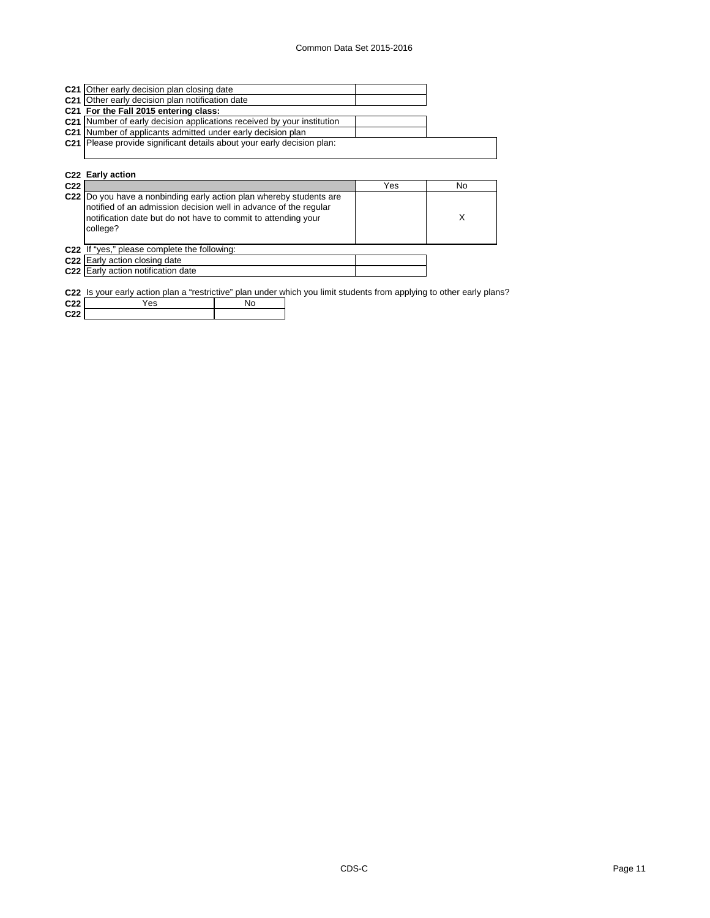| C21 Other early decision plan closing date                             |     |    |
|------------------------------------------------------------------------|-----|----|
| C21 Other early decision plan notification date                        |     |    |
| C21 For the Fall 2015 entering class:                                  |     |    |
| C21 Number of early decision applications received by your institution |     |    |
| C21 Number of applicants admitted under early decision plan            |     |    |
| C21 Please provide significant details about your early decision plan: |     |    |
|                                                                        |     |    |
|                                                                        |     |    |
| C22 Early action                                                       |     |    |
|                                                                        |     |    |
|                                                                        | Yes | No |
| C22  Do you have a nonbinding early action plan whereby students are   |     |    |
| notified of an admission decision well in advance of the regular       |     |    |
| notification date but do not have to commit to attending your          |     | X  |
| college?                                                               |     |    |
|                                                                        |     |    |
| C22 If "yes," please complete the following:                           |     |    |
|                                                                        |     |    |

**C22 C22** Early action notification date

**C22** Is your early action plan a "restrictive" plan under which you limit students from applying to other early plans?

| C <sub>22</sub> | $\sim$ $\sim$<br>ဗၵ | ے ان<br>◥◡ |
|-----------------|---------------------|------------|
| <b>COD</b>      |                     |            |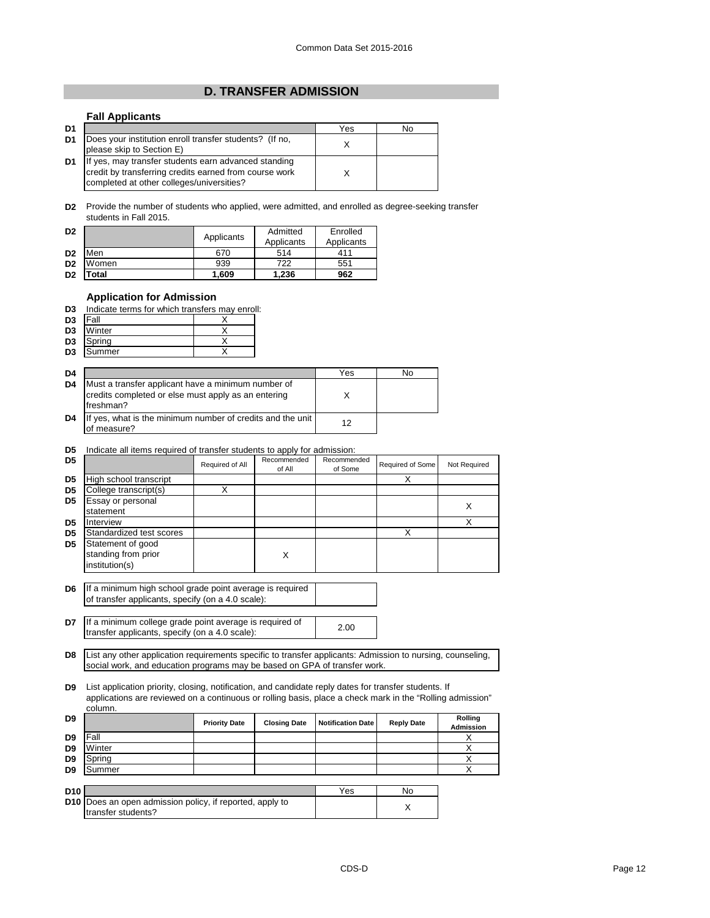## **D. TRANSFER ADMISSION**

## **Fall Applicants**

| D <sub>1</sub> |                                                                                                                                                             | Yes | No |
|----------------|-------------------------------------------------------------------------------------------------------------------------------------------------------------|-----|----|
| D <sub>1</sub> | Does your institution enroll transfer students? (If no,<br>please skip to Section E)                                                                        |     |    |
| D <sub>1</sub> | If yes, may transfer students earn advanced standing<br>credit by transferring credits earned from course work<br>completed at other colleges/universities? |     |    |

**D2** Provide the number of students who applied, were admitted, and enrolled as degree-seeking transfer students in Fall 2015.

| D <sub>2</sub> |       | Applicants | Admitted<br>Applicants | Enrolled<br>Applicants |
|----------------|-------|------------|------------------------|------------------------|
| D <sub>2</sub> | Men   | 670        | 514                    | 411                    |
| D <sub>2</sub> | Women | 939        | 722                    | 551                    |
| D <sub>2</sub> | otal  | 1.609      | 1.236                  | 962                    |

#### **Application for Admission**

| D3 | Indicate terms for which transfers may enroll: |  |  |  |  |
|----|------------------------------------------------|--|--|--|--|
|    |                                                |  |  |  |  |

| D3             | IFall  |  |
|----------------|--------|--|
| D <sub>3</sub> | Winter |  |
| D <sub>3</sub> | Spring |  |
| D <sub>3</sub> | Summer |  |

| D <sub>4</sub> |                                                                                                                        | Yes | No |
|----------------|------------------------------------------------------------------------------------------------------------------------|-----|----|
| D <sub>4</sub> | Must a transfer applicant have a minimum number of<br>credits completed or else must apply as an entering<br>freshman? |     |    |
| D <sub>4</sub> | If yes, what is the minimum number of credits and the unit<br>of measure?                                              | 12  |    |

#### **D5** Indicate all items required of transfer students to apply for admission:

| D5             |                                                            | Required of All | Recommended<br>of All | Recommended<br>of Some | Required of Some | Not Required |
|----------------|------------------------------------------------------------|-----------------|-----------------------|------------------------|------------------|--------------|
| D <sub>5</sub> | High school transcript                                     |                 |                       |                        | x                |              |
| D5             | College transcript(s)                                      |                 |                       |                        |                  |              |
| D5             | Essay or personal                                          |                 |                       |                        |                  |              |
|                | statement                                                  |                 |                       |                        |                  | ∧            |
| D <sub>5</sub> | Interview                                                  |                 |                       |                        |                  |              |
| D5             | Standardized test scores                                   |                 |                       |                        |                  |              |
| D5             | Statement of good<br>standing from prior<br>institution(s) |                 | X                     |                        |                  |              |
|                |                                                            |                 |                       |                        |                  |              |

**D6** If a minimum high school grade point average is required of transfer applicants, specify (on a 4.0 scale):

**D7** If a minimum college grade point average is required of <br>transfer applicants, specify (op a 4.0 secle): transfer applicants, specify (on a 4.0 scale):

**D8** List any other application requirements specific to transfer applicants: Admission to nursing, counseling, social work, and education programs may be based on GPA of transfer work.

**D9** List application priority, closing, notification, and candidate reply dates for transfer students. If applications are reviewed on a continuous or rolling basis, place a check mark in the "Rolling admission" column.

| D <sub>9</sub>  |        | <b>Priority Date</b> | <b>Closing Date</b> | <b>Notification Date</b> | <b>Reply Date</b> | Rolling<br>Admission |
|-----------------|--------|----------------------|---------------------|--------------------------|-------------------|----------------------|
| D9              | Fall   |                      |                     |                          |                   |                      |
| D <sub>9</sub>  | Winter |                      |                     |                          |                   |                      |
| D <sub>9</sub>  | Spring |                      |                     |                          |                   |                      |
| D <sub>9</sub>  | Summer |                      |                     |                          |                   |                      |
|                 |        |                      |                     |                          |                   |                      |
| D <sub>10</sub> |        |                      |                     | Yes                      | N٥                |                      |

| D <sub>10</sub> |                                                                                       | Yes | Nα |
|-----------------|---------------------------------------------------------------------------------------|-----|----|
|                 | <b>D10</b> Does an open admission policy, if reported, apply to<br>transfer students? |     |    |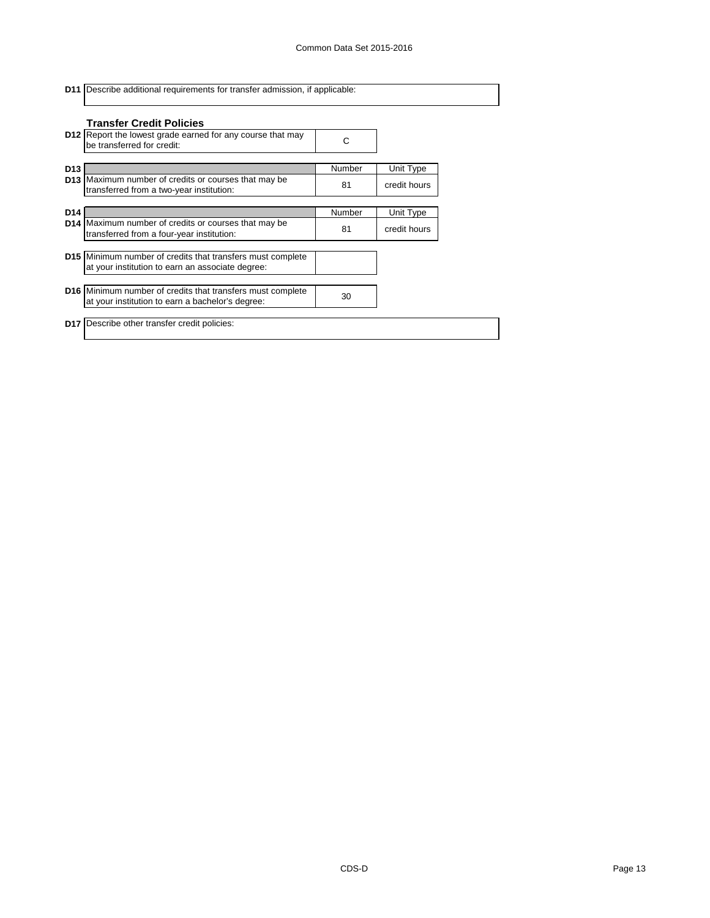|                 | <b>D11</b> Describe additional requirements for transfer admission, if applicable:                                    |        |              |  |  |
|-----------------|-----------------------------------------------------------------------------------------------------------------------|--------|--------------|--|--|
|                 | <b>Transfer Credit Policies</b>                                                                                       |        |              |  |  |
|                 | <b>D12</b> Report the lowest grade earned for any course that may<br>be transferred for credit:                       | С      |              |  |  |
| D <sub>13</sub> |                                                                                                                       | Number | Unit Type    |  |  |
|                 | <b>D13</b> Maximum number of credits or courses that may be<br>transferred from a two-year institution:               | 81     | credit hours |  |  |
| D <sub>14</sub> |                                                                                                                       | Number | Unit Type    |  |  |
|                 | D14 Maximum number of credits or courses that may be<br>transferred from a four-year institution:                     | 81     | credit hours |  |  |
|                 | <b>D15</b> Minimum number of credits that transfers must complete<br>at your institution to earn an associate degree: |        |              |  |  |
|                 | D16 Minimum number of credits that transfers must complete<br>at your institution to earn a bachelor's degree:        | 30     |              |  |  |
|                 | <b>D17</b> Describe other transfer credit policies:                                                                   |        |              |  |  |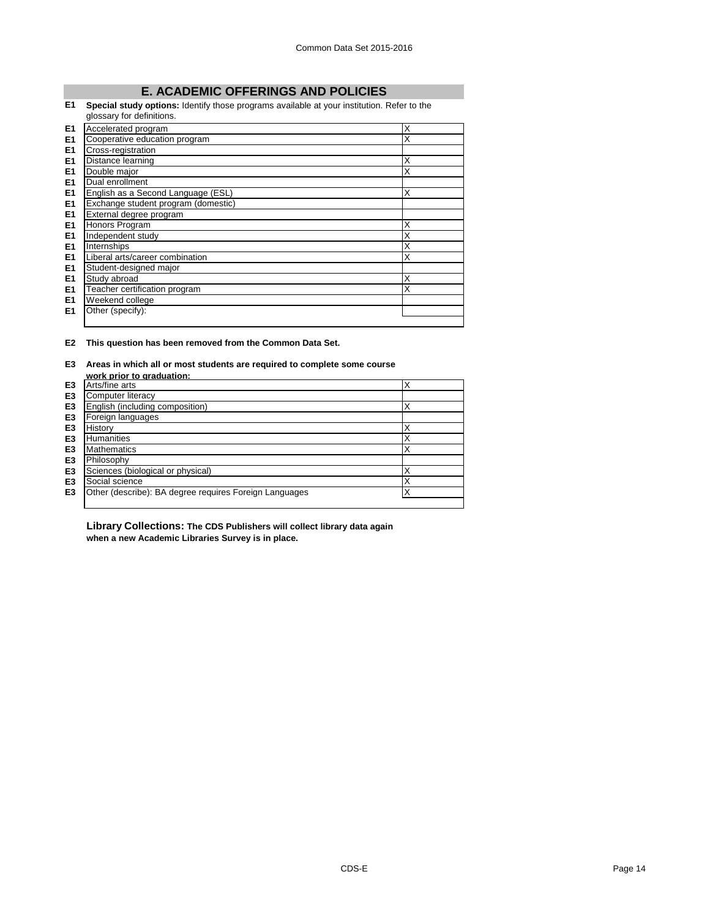# **E. ACADEMIC OFFERINGS AND POLICIES**

## **E1 Special study options:** Identify those programs available at your institution. Refer to the

|                | glossary for definitions.           |   |  |
|----------------|-------------------------------------|---|--|
| E1             | Accelerated program                 | X |  |
| E <sub>1</sub> | Cooperative education program       | X |  |
| E <sub>1</sub> | Cross-registration                  |   |  |
| E <sub>1</sub> | Distance learning                   | X |  |
| E <sub>1</sub> | Double major                        | X |  |
| E <sub>1</sub> | Dual enrollment                     |   |  |
| E <sub>1</sub> | English as a Second Language (ESL)  | X |  |
| E <sub>1</sub> | Exchange student program (domestic) |   |  |
| E <sub>1</sub> | External degree program             |   |  |
| E <sub>1</sub> | Honors Program                      | X |  |
| E <sub>1</sub> | Independent study                   | X |  |
| E <sub>1</sub> | Internships                         | X |  |
| E <sub>1</sub> | Liberal arts/career combination     | X |  |
| E <sub>1</sub> | Student-designed major              |   |  |
| E <sub>1</sub> | Study abroad                        | X |  |
| E <sub>1</sub> | Teacher certification program       | X |  |
| E <sub>1</sub> | Weekend college                     |   |  |
| E <sub>1</sub> | Other (specify):                    |   |  |
|                |                                     |   |  |

#### **E2 This question has been removed from the Common Data Set.**

## **E3 Areas in which all or most students are required to complete some course**

|                | work prior to graduation:                              |   |
|----------------|--------------------------------------------------------|---|
| E3             | Arts/fine arts                                         | Х |
| E <sub>3</sub> | Computer literacy                                      |   |
| E <sub>3</sub> | English (including composition)                        | Х |
| E <sub>3</sub> | Foreign languages                                      |   |
| E <sub>3</sub> | History                                                |   |
| E <sub>3</sub> | <b>Humanities</b>                                      |   |
| E <sub>3</sub> | <b>Mathematics</b>                                     | Х |
| E <sub>3</sub> | Philosophy                                             |   |
| E <sub>3</sub> | Sciences (biological or physical)                      | х |
| E <sub>3</sub> | Social science                                         | Х |
| E3             | Other (describe): BA degree requires Foreign Languages | 丷 |
|                |                                                        |   |

### **Library Collections: The CDS Publishers will collect library data again when a new Academic Libraries Survey is in place.**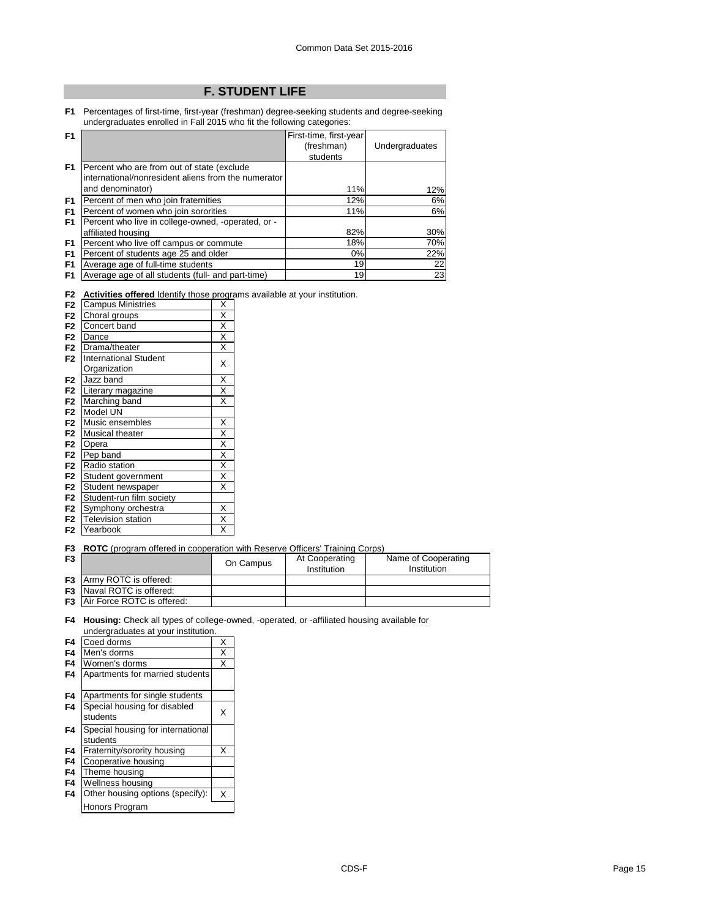# **F. STUDENT LIFE**

**F1** Percentages of first-time, first-year (freshman) degree-seeking students and degree-seeking undergraduates enrolled in Fall 2015 who fit the following categories:

| F <sub>1</sub> |                                                     | First-time, first-year |                |
|----------------|-----------------------------------------------------|------------------------|----------------|
|                |                                                     | (freshman)             | Undergraduates |
|                |                                                     | students               |                |
| F <sub>1</sub> | Percent who are from out of state (exclude          |                        |                |
|                | international/nonresident aliens from the numerator |                        |                |
|                | and denominator)                                    | 11%                    | 12%            |
| F <sub>1</sub> | Percent of men who join fraternities                | 12%                    | 6%             |
| F <sub>1</sub> | Percent of women who join sororities                | 11%                    | 6%             |
| F <sub>1</sub> | Percent who live in college-owned, -operated, or -  |                        |                |
|                | affiliated housing                                  | 82%                    | 30%            |
| F <sub>1</sub> | Percent who live off campus or commute              | 18%                    | 70%            |
| F <sub>1</sub> | Percent of students age 25 and older                | $0\%$                  | 22%            |
| F <sub>1</sub> | Average age of full-time students                   | 19                     | 22             |
| F <sub>1</sub> | Average age of all students (full- and part-time)   | 19                     | 23             |

| F2 Activities offered Identify those programs available at your institution. |  |  |  |
|------------------------------------------------------------------------------|--|--|--|
|                                                                              |  |  |  |

| F <sub>2</sub> | <b>Campus Ministries</b>     | X                       |
|----------------|------------------------------|-------------------------|
| F <sub>2</sub> | Choral groups                | X                       |
| F <sub>2</sub> | Concert band                 | $\overline{\mathsf{x}}$ |
| F <sub>2</sub> | Dance                        | $\overline{\mathsf{x}}$ |
| F <sub>2</sub> | Drama/theater                | Χ                       |
| F <sub>2</sub> | <b>International Student</b> | X                       |
|                | Organization                 |                         |
| F <sub>2</sub> | Jazz band                    | X                       |
| F <sub>2</sub> | Literary magazine            | $\overline{\mathsf{x}}$ |
| F <sub>2</sub> | Marching band                | $\overline{\mathsf{x}}$ |
| F <sub>2</sub> | Model UN                     |                         |
| F <sub>2</sub> | Music ensembles              | Χ                       |
| F <sub>2</sub> | Musical theater              | $\overline{\mathsf{x}}$ |
| F <sub>2</sub> | Opera                        | $\overline{\mathsf{x}}$ |
| F <sub>2</sub> | Pep band                     | $\overline{\mathsf{x}}$ |
| F <sub>2</sub> | Radio station                | $\overline{\mathsf{x}}$ |
| F <sub>2</sub> | Student government           | X                       |
| F <sub>2</sub> | Student newspaper            | X                       |
| F <sub>2</sub> | Student-run film society     |                         |
| F <sub>2</sub> | Symphony orchestra           | X                       |
| F <sub>2</sub> | <b>Television station</b>    | $\overline{\mathsf{x}}$ |
| F <sub>2</sub> | Yearbook                     | X                       |

#### **F3 ROTC** (program offered in cooperation with Reserve Officers' Training Corps)

| F <sub>3</sub> | .                                    | On Campus | At Cooperating | Name of Cooperating |
|----------------|--------------------------------------|-----------|----------------|---------------------|
|                |                                      |           | Institution    | Institution         |
|                | <b>F3</b> Army ROTC is offered:      |           |                |                     |
|                | <b>F3</b> Naval ROTC is offered:     |           |                |                     |
|                | <b>F3</b> Air Force ROTC is offered: |           |                |                     |
|                |                                      |           |                |                     |

**F4 Housing:** Check all types of college-owned, -operated, or -affiliated housing available for undergraduates at your institution.

| F4 | Coed dorms                                    | X |
|----|-----------------------------------------------|---|
| F4 | Men's dorms                                   | X |
| F4 | Women's dorms                                 | X |
| F4 | Apartments for married students               |   |
| F4 | Apartments for single students                |   |
| F4 | Special housing for disabled<br>students      | x |
| F4 | Special housing for international<br>students |   |
| F4 | Fraternity/sorority housing                   | x |
| F4 | Cooperative housing                           |   |
| F4 | Theme housing                                 |   |
| F4 | Wellness housing                              |   |
| F4 | Other housing options (specify):              | X |
|    | Honors Program                                |   |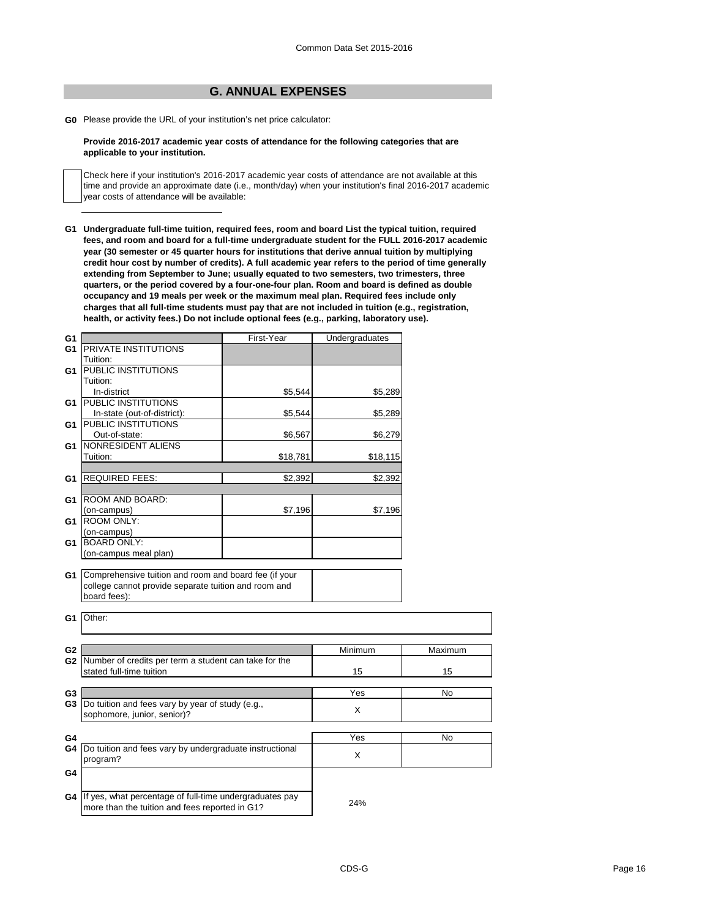# **G. ANNUAL EXPENSES**

**G0** Please provide the URL of your institution's net price calculator:

#### **Provide 2016-2017 academic year costs of attendance for the following categories that are applicable to your institution.**

Check here if your institution's 2016-2017 academic year costs of attendance are not available at this time and provide an approximate date (i.e., month/day) when your institution's final 2016-2017 academic year costs of attendance will be available:

**G1 Undergraduate full-time tuition, required fees, room and board List the typical tuition, required fees, and room and board for a full-time undergraduate student for the FULL 2016-2017 academic year (30 semester or 45 quarter hours for institutions that derive annual tuition by multiplying credit hour cost by number of credits). A full academic year refers to the period of time generally extending from September to June; usually equated to two semesters, two trimesters, three quarters, or the period covered by a four-one-four plan. Room and board is defined as double occupancy and 19 meals per week or the maximum meal plan. Required fees include only charges that all full-time students must pay that are not included in tuition (e.g., registration, health, or activity fees.) Do not include optional fees (e.g., parking, laboratory use).**

| G <sub>1</sub>       |                                                                                                                                         | First-Year | Undergraduates |           |
|----------------------|-----------------------------------------------------------------------------------------------------------------------------------------|------------|----------------|-----------|
| G <sub>1</sub>       | PRIVATE INSTITUTIONS                                                                                                                    |            |                |           |
|                      | Tuition:                                                                                                                                |            |                |           |
| G1                   | <b>PUBLIC INSTITUTIONS</b>                                                                                                              |            |                |           |
|                      | Tuition:                                                                                                                                |            |                |           |
|                      | In-district                                                                                                                             | \$5,544    | \$5,289        |           |
| G1                   | <b>PUBLIC INSTITUTIONS</b>                                                                                                              |            |                |           |
|                      | In-state (out-of-district):                                                                                                             | \$5,544    | \$5,289        |           |
| G1                   | PUBLIC INSTITUTIONS                                                                                                                     |            |                |           |
|                      | Out-of-state:                                                                                                                           | \$6,567    | \$6,279        |           |
| G1                   | NONRESIDENT ALIENS                                                                                                                      |            |                |           |
|                      | Tuition:                                                                                                                                | \$18,781   | \$18,115       |           |
|                      |                                                                                                                                         |            |                |           |
| G1                   | <b>REQUIRED FEES:</b>                                                                                                                   | \$2,392    | \$2,392        |           |
|                      |                                                                                                                                         |            |                |           |
| G1                   | ROOM AND BOARD:                                                                                                                         |            |                |           |
|                      | (on-campus)                                                                                                                             | \$7,196    | \$7,196        |           |
| G1                   | <b>ROOM ONLY:</b>                                                                                                                       |            |                |           |
|                      | (on-campus)                                                                                                                             |            |                |           |
| G1                   | <b>BOARD ONLY:</b>                                                                                                                      |            |                |           |
|                      | (on-campus meal plan)                                                                                                                   |            |                |           |
| G1<br>G1             | Comprehensive tuition and room and board fee (if your<br>college cannot provide separate tuition and room and<br>board fees):<br>Other: |            |                |           |
|                      |                                                                                                                                         |            |                |           |
| G <sub>2</sub>       |                                                                                                                                         |            | Minimum        | Maximum   |
|                      | G2 Number of credits per term a student can take for the<br>stated full-time tuition                                                    |            | 15             | 15        |
|                      |                                                                                                                                         |            | Yes            | <b>No</b> |
| G3<br>G <sub>3</sub> | Do tuition and fees vary by year of study (e.g.,                                                                                        |            |                |           |
|                      | sophomore, junior, senior)?                                                                                                             |            | X              |           |
|                      |                                                                                                                                         |            |                |           |
| G4                   |                                                                                                                                         |            | Yes            | No        |
| G4                   | Do tuition and fees vary by undergraduate instructional<br>program?                                                                     |            | X              |           |
|                      |                                                                                                                                         |            |                |           |
| G4                   |                                                                                                                                         |            |                |           |
|                      |                                                                                                                                         |            |                |           |
| G4                   | If yes, what percentage of full-time undergraduates pay<br>more than the tuition and fees reported in G1?                               |            | 24%            |           |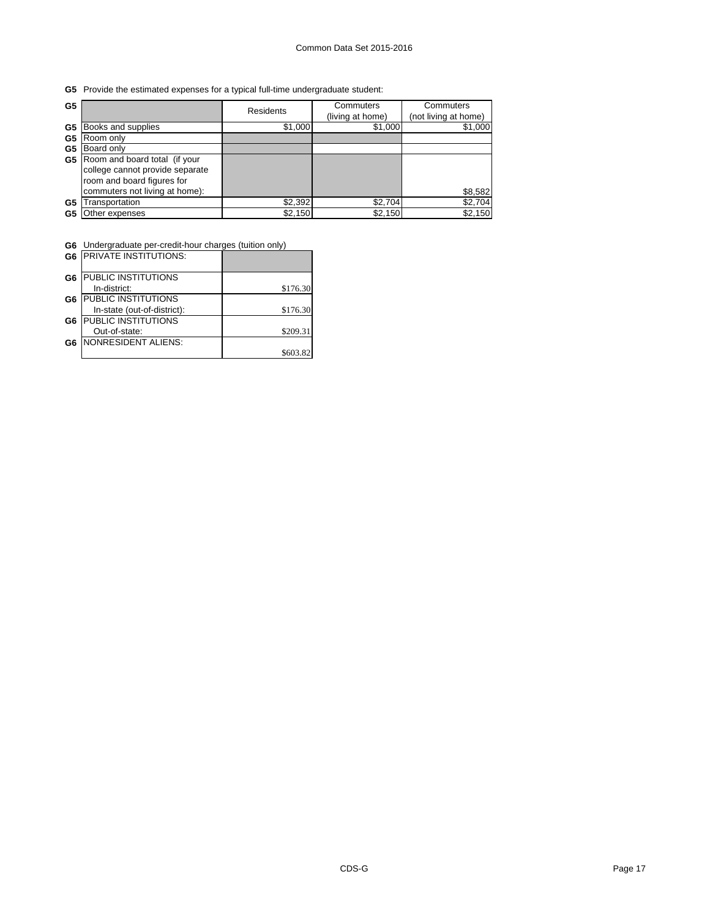**G5** Provide the estimated expenses for a typical full-time undergraduate student:

| G <sub>5</sub> |                                                                                                                                  | <b>Residents</b> | Commuters<br>(living at home) | Commuters<br>(not living at home) |
|----------------|----------------------------------------------------------------------------------------------------------------------------------|------------------|-------------------------------|-----------------------------------|
| G5             | Books and supplies                                                                                                               | \$1,000          | \$1,000                       | \$1,000                           |
| G <sub>5</sub> | Room only                                                                                                                        |                  |                               |                                   |
| G5             | Board only                                                                                                                       |                  |                               |                                   |
| G5             | Room and board total (if your<br>college cannot provide separate<br>room and board figures for<br>commuters not living at home): |                  |                               | \$8,582                           |
| G5             | Transportation                                                                                                                   | \$2,392          | \$2,704                       | \$2,704                           |
| G5             | Other expenses                                                                                                                   | \$2,150          | \$2,150                       | \$2,150                           |

ı.

**G6** Undergraduate per-credit-hour charges (tuition only)

|                | <b>G6 IPRIVATE INSTITUTIONS:</b> |          |
|----------------|----------------------------------|----------|
| G <sub>6</sub> | PUBLIC INSTITUTIONS              |          |
|                | In-district:                     | \$176.30 |
| G <sub>6</sub> | PUBLIC INSTITUTIONS              |          |
|                | In-state (out-of-district):      | \$176.30 |
| G <sub>6</sub> | PUBLIC INSTITUTIONS              |          |
|                | Out-of-state:                    | \$209.31 |
| G6             | <b>NONRESIDENT ALIENS:</b>       |          |
|                |                                  | \$603.   |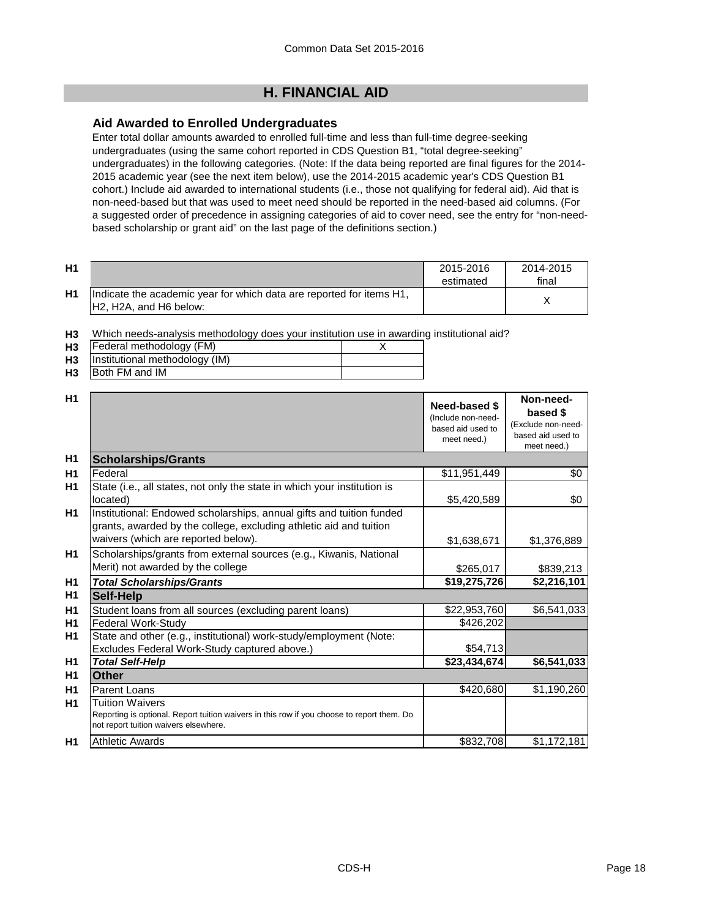# **H. FINANCIAL AID**

# **Aid Awarded to Enrolled Undergraduates**

Enter total dollar amounts awarded to enrolled full-time and less than full-time degree-seeking undergraduates (using the same cohort reported in CDS Question B1, "total degree-seeking" undergraduates) in the following categories. (Note: If the data being reported are final figures for the 2014- 2015 academic year (see the next item below), use the 2014-2015 academic year's CDS Question B1 cohort.) Include aid awarded to international students (i.e., those not qualifying for federal aid). Aid that is non-need-based but that was used to meet need should be reported in the need-based aid columns. (For a suggested order of precedence in assigning categories of aid to cover need, see the entry for "non-needbased scholarship or grant aid" on the last page of the definitions section.)

| H1 |                                                                                                                                      | 2015-2016<br>estimated | 2014-2015<br>final |
|----|--------------------------------------------------------------------------------------------------------------------------------------|------------------------|--------------------|
| H1 | Indicate the academic year for which data are reported for items H1,<br>H <sub>2</sub> , H <sub>2</sub> A, and H <sub>6</sub> below: |                        |                    |

**H3** Which needs-analysis methodology does your institution use in awarding institutional aid?

| H <sub>3</sub> | Federal methodology (FM)       |  |
|----------------|--------------------------------|--|
| H3             | Institutional methodology (IM) |  |
| H <sub>3</sub> | <b>Both FM and IM</b>          |  |

| H <sub>1</sub> |                                                                                                                                                                                   | Need-based \$<br>(Include non-need-<br>based aid used to<br>meet need.) | Non-need-<br>based \$<br>(Exclude non-need-<br>based aid used to<br>meet need.) |
|----------------|-----------------------------------------------------------------------------------------------------------------------------------------------------------------------------------|-------------------------------------------------------------------------|---------------------------------------------------------------------------------|
| H1             | <b>Scholarships/Grants</b>                                                                                                                                                        |                                                                         |                                                                                 |
| H <sub>1</sub> | Federal                                                                                                                                                                           | \$11,951,449                                                            | \$0                                                                             |
| H <sub>1</sub> | State (i.e., all states, not only the state in which your institution is<br>located)                                                                                              | \$5,420,589                                                             | \$0                                                                             |
| H1             | Institutional: Endowed scholarships, annual gifts and tuition funded<br>grants, awarded by the college, excluding athletic aid and tuition<br>waivers (which are reported below). | \$1,638,671                                                             | \$1,376,889                                                                     |
| H1             | Scholarships/grants from external sources (e.g., Kiwanis, National<br>Merit) not awarded by the college                                                                           | \$265,017                                                               | \$839,213                                                                       |
| H1             | <b>Total Scholarships/Grants</b>                                                                                                                                                  | \$19,275,726                                                            | \$2,216,101                                                                     |
| H1             | <b>Self-Help</b>                                                                                                                                                                  |                                                                         |                                                                                 |
| H1             | Student loans from all sources (excluding parent loans)                                                                                                                           | \$22,953,760                                                            | \$6,541,033                                                                     |
| H <sub>1</sub> | <b>Federal Work-Study</b>                                                                                                                                                         | \$426,202                                                               |                                                                                 |
| H1             | State and other (e.g., institutional) work-study/employment (Note:<br>Excludes Federal Work-Study captured above.)                                                                | \$54,713                                                                |                                                                                 |
| H1             | <b>Total Self-Help</b>                                                                                                                                                            | \$23,434,674                                                            | \$6,541,033                                                                     |
| H1             | Other                                                                                                                                                                             |                                                                         |                                                                                 |
| H1             | Parent Loans                                                                                                                                                                      | \$420,680                                                               | \$1,190,260                                                                     |
| <b>H1</b>      | <b>Tuition Waivers</b><br>Reporting is optional. Report tuition waivers in this row if you choose to report them. Do<br>not report tuition waivers elsewhere.                     |                                                                         |                                                                                 |
| H1             | <b>Athletic Awards</b>                                                                                                                                                            | \$832,708                                                               | \$1,172,181                                                                     |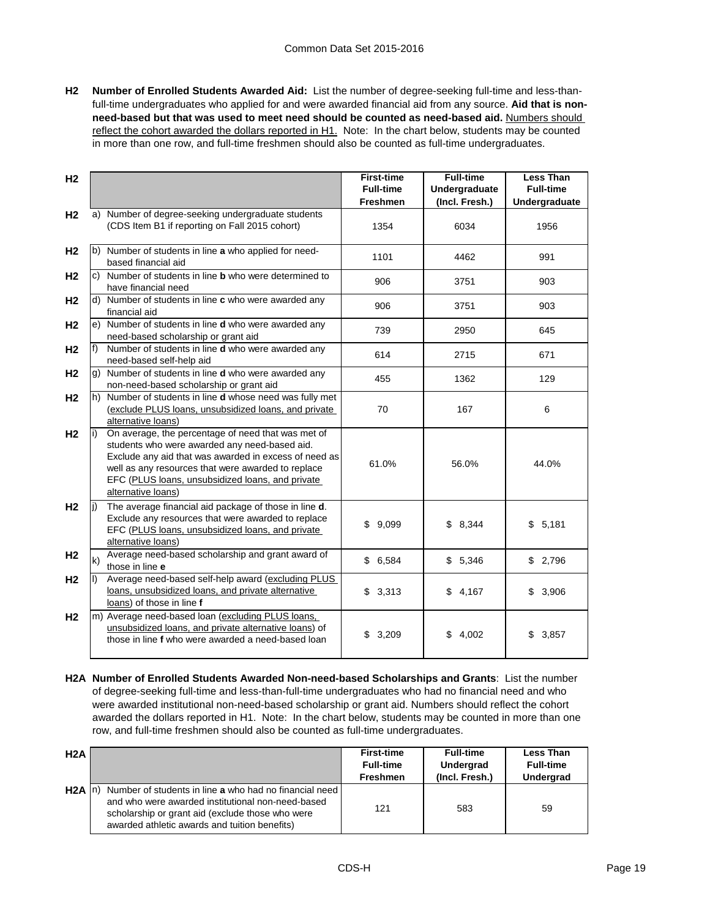**H2 Number of Enrolled Students Awarded Aid:** List the number of degree-seeking full-time and less-thanfull-time undergraduates who applied for and were awarded financial aid from any source. **Aid that is non**need-based but that was used to meet need should be counted as need-based aid. Numbers should reflect the cohort awarded the dollars reported in H1. Note: In the chart below, students may be counted in more than one row, and full-time freshmen should also be counted as full-time undergraduates.

| H <sub>2</sub> |     |                                                                                                                                                                                                                                                                                              | <b>First-time</b><br><b>Full-time</b> | <b>Full-time</b><br>Undergraduate | <b>Less Than</b><br><b>Full-time</b> |
|----------------|-----|----------------------------------------------------------------------------------------------------------------------------------------------------------------------------------------------------------------------------------------------------------------------------------------------|---------------------------------------|-----------------------------------|--------------------------------------|
|                |     |                                                                                                                                                                                                                                                                                              | <b>Freshmen</b>                       | (Incl. Fresh.)                    | Undergraduate                        |
| H <sub>2</sub> |     | a) Number of degree-seeking undergraduate students<br>(CDS Item B1 if reporting on Fall 2015 cohort)                                                                                                                                                                                         | 1354                                  | 6034                              | 1956                                 |
| H <sub>2</sub> |     | b) Number of students in line a who applied for need-<br>based financial aid                                                                                                                                                                                                                 | 1101                                  | 4462                              | 991                                  |
| H <sub>2</sub> |     | c) Number of students in line <b>b</b> who were determined to<br>have financial need                                                                                                                                                                                                         | 906                                   | 3751                              | 903                                  |
| H <sub>2</sub> |     | d) Number of students in line c who were awarded any<br>financial aid                                                                                                                                                                                                                        | 906                                   | 3751                              | 903                                  |
| H <sub>2</sub> |     | e) Number of students in line d who were awarded any<br>need-based scholarship or grant aid                                                                                                                                                                                                  | 739                                   | 2950                              | 645                                  |
| H <sub>2</sub> | f)  | Number of students in line <b>d</b> who were awarded any<br>need-based self-help aid                                                                                                                                                                                                         | 614                                   | 2715                              | 671                                  |
| H <sub>2</sub> |     | g) Number of students in line d who were awarded any<br>non-need-based scholarship or grant aid                                                                                                                                                                                              | 455                                   | 1362                              | 129                                  |
| H <sub>2</sub> |     | h) Number of students in line d whose need was fully met<br>(exclude PLUS loans, unsubsidized loans, and private<br>alternative loans)                                                                                                                                                       | 70                                    | 167                               | 6                                    |
| H <sub>2</sub> |     | On average, the percentage of need that was met of<br>students who were awarded any need-based aid.<br>Exclude any aid that was awarded in excess of need as<br>well as any resources that were awarded to replace<br>EFC (PLUS loans, unsubsidized loans, and private<br>alternative loans) | 61.0%                                 | 56.0%                             | 44.0%                                |
| H <sub>2</sub> |     | The average financial aid package of those in line d.<br>Exclude any resources that were awarded to replace<br>EFC (PLUS loans, unsubsidized loans, and private<br>alternative loans)                                                                                                        | \$<br>9,099                           | \$8,344                           | \$<br>5,181                          |
| H <sub>2</sub> | lk) | Average need-based scholarship and grant award of<br>those in line e                                                                                                                                                                                                                         | \$6,584                               | \$5,346                           | \$2,796                              |
| H <sub>2</sub> |     | Average need-based self-help award (excluding PLUS<br>loans, unsubsidized loans, and private alternative<br>loans) of those in line f                                                                                                                                                        | \$<br>3,313                           | \$4,167                           | 3,906<br>\$                          |
| H <sub>2</sub> |     | m) Average need-based loan (excluding PLUS loans,<br>unsubsidized loans, and private alternative loans) of<br>those in line f who were awarded a need-based loan                                                                                                                             | 3,209<br>\$                           | \$<br>4,002                       | 3,857<br>\$                          |

**H2A Number of Enrolled Students Awarded Non-need-based Scholarships and Grants**: List the number of degree-seeking full-time and less-than-full-time undergraduates who had no financial need and who were awarded institutional non-need-based scholarship or grant aid. Numbers should reflect the cohort awarded the dollars reported in H1. Note: In the chart below, students may be counted in more than one row, and full-time freshmen should also be counted as full-time undergraduates.

| H <sub>2</sub> A |                                                                                                                                                                                                                          | <b>First-time</b><br><b>Full-time</b><br><b>Freshmen</b> | <b>Full-time</b><br>Undergrad<br>(Incl. Fresh.) | <b>Less Than</b><br><b>Full-time</b><br><b>Undergrad</b> |
|------------------|--------------------------------------------------------------------------------------------------------------------------------------------------------------------------------------------------------------------------|----------------------------------------------------------|-------------------------------------------------|----------------------------------------------------------|
| H2A              | Number of students in line a who had no financial need<br>-Inl<br>and who were awarded institutional non-need-based<br>scholarship or grant aid (exclude those who were<br>awarded athletic awards and tuition benefits) | 121                                                      | 583                                             | 59                                                       |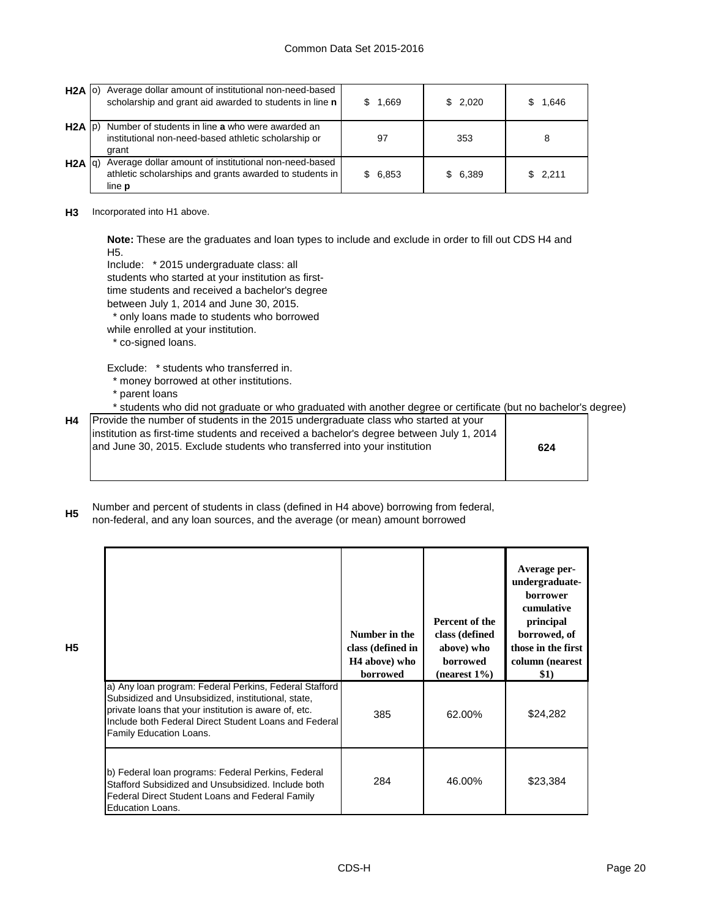| $H2A$ $ 0\rangle$ | Average dollar amount of institutional non-need-based<br>scholarship and grant aid awarded to students in line n                  | 1,669        | \$2,020 | 1.646   |
|-------------------|-----------------------------------------------------------------------------------------------------------------------------------|--------------|---------|---------|
| $H2A$ $ p $       | Number of students in line a who were awarded an<br>institutional non-need-based athletic scholarship or<br>grant                 | 97           | 353     | 8       |
| H2A Iq            | Average dollar amount of institutional non-need-based<br>athletic scholarships and grants awarded to students in<br>line <b>p</b> | 6,853<br>SS. | \$6,389 | \$2.211 |

**H3** Incorporated into H1 above.

**Note:** These are the graduates and loan types to include and exclude in order to fill out CDS H4 and H5.

Include: \* 2015 undergraduate class: all

students who started at your institution as first-

time students and received a bachelor's degree

between July 1, 2014 and June 30, 2015.

\* only loans made to students who borrowed

while enrolled at your institution.

\* co-signed loans.

Exclude: \* students who transferred in.

- \* money borrowed at other institutions.
- \* parent loans

**H5**

\* students who did not graduate or who graduated with another degree or certificate (but no bachelor's degree)

| <b>H4</b> Provide the number of students in the 2015 undergraduate class who started at your<br>linstitution as first-time students and received a bachelor's degree between July 1, 2014<br>and June 30, 2015. Exclude students who transferred into your institution | 624 |
|------------------------------------------------------------------------------------------------------------------------------------------------------------------------------------------------------------------------------------------------------------------------|-----|
|                                                                                                                                                                                                                                                                        |     |

**H5** Number and percent of students in class (defined in H4 above) borrowing from federal, non-federal, and any loan sources, and the average (or mean) amount borrowed

|                                                                                                                                                                                                                                                           | Number in the<br>class (defined in<br>H <sub>4</sub> above) who<br>borrowed | Percent of the<br>class (defined<br>above) who<br><b>borrowed</b><br>$(nearest 1\%)$ | Average per-<br>undergraduate-<br><b>borrower</b><br>cumulative<br>principal<br>borrowed, of<br>those in the first<br>column (nearest<br>\$1) |
|-----------------------------------------------------------------------------------------------------------------------------------------------------------------------------------------------------------------------------------------------------------|-----------------------------------------------------------------------------|--------------------------------------------------------------------------------------|-----------------------------------------------------------------------------------------------------------------------------------------------|
| a) Any loan program: Federal Perkins, Federal Stafford<br>Subsidized and Unsubsidized, institutional, state,<br>private loans that your institution is aware of, etc.<br>Include both Federal Direct Student Loans and Federal<br>Family Education Loans. | 385                                                                         | 62.00%                                                                               | \$24,282                                                                                                                                      |
| b) Federal loan programs: Federal Perkins, Federal<br>Stafford Subsidized and Unsubsidized. Include both<br>Federal Direct Student Loans and Federal Family<br>Education Loans.                                                                           | 284                                                                         | 46.00%                                                                               | \$23,384                                                                                                                                      |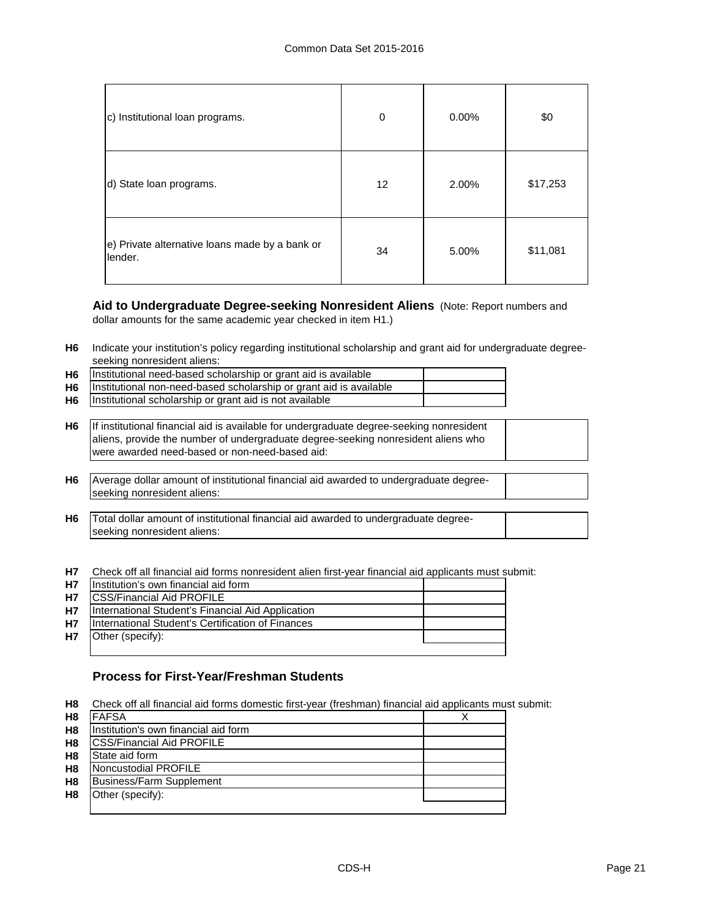| c) Institutional loan programs.                           | 0               | $0.00\%$ | \$0      |
|-----------------------------------------------------------|-----------------|----------|----------|
| d) State loan programs.                                   | 12 <sup>2</sup> | 2.00%    | \$17,253 |
| e) Private alternative loans made by a bank or<br>lender. | 34              | 5.00%    | \$11,081 |

# **Aid to Undergraduate Degree-seeking Nonresident Aliens** (Note: Report numbers and

dollar amounts for the same academic year checked in item H1.)

**H6** Indicate your institution's policy regarding institutional scholarship and grant aid for undergraduate degreeseeking nonresident aliens:

| H <sub>6</sub> | Institutional need-based scholarship or grant aid is available     |  |
|----------------|--------------------------------------------------------------------|--|
| H6             | Institutional non-need-based scholarship or grant aid is available |  |
| H <sub>6</sub> | Institutional scholarship or grant aid is not available            |  |
|                |                                                                    |  |

- **H6** If institutional financial aid is available for undergraduate degree-seeking nonresident aliens, provide the number of undergraduate degree-seeking nonresident aliens who were awarded need-based or non-need-based aid:
- **H6** Average dollar amount of institutional financial aid awarded to undergraduate degreeseeking nonresident aliens:
- **H6** Total dollar amount of institutional financial aid awarded to undergraduate degreeseeking nonresident aliens:

**H7** Check off all financial aid forms nonresident alien first-year financial aid applicants must submit:

| <b>H7</b> | Institution's own financial aid form              |  |
|-----------|---------------------------------------------------|--|
| <b>H7</b> | <b>ICSS/Financial Aid PROFILE</b>                 |  |
| <b>H7</b> | International Student's Financial Aid Application |  |
| <b>H7</b> | International Student's Certification of Finances |  |
| <b>H7</b> | Other (specify):                                  |  |
|           |                                                   |  |

# **Process for First-Year/Freshman Students**

**H8** Check off all financial aid forms domestic first-year (freshman) financial aid applicants must submit:

| H8             | FAFSA                                |  |
|----------------|--------------------------------------|--|
| H <sub>8</sub> | Institution's own financial aid form |  |
| H <sub>8</sub> | <b>CSS/Financial Aid PROFILE</b>     |  |
| H <sub>8</sub> | State aid form                       |  |
| H <sub>8</sub> | Noncustodial PROFILE                 |  |
| H <sub>8</sub> | Business/Farm Supplement             |  |
| H <sub>8</sub> | Other (specify):                     |  |
|                |                                      |  |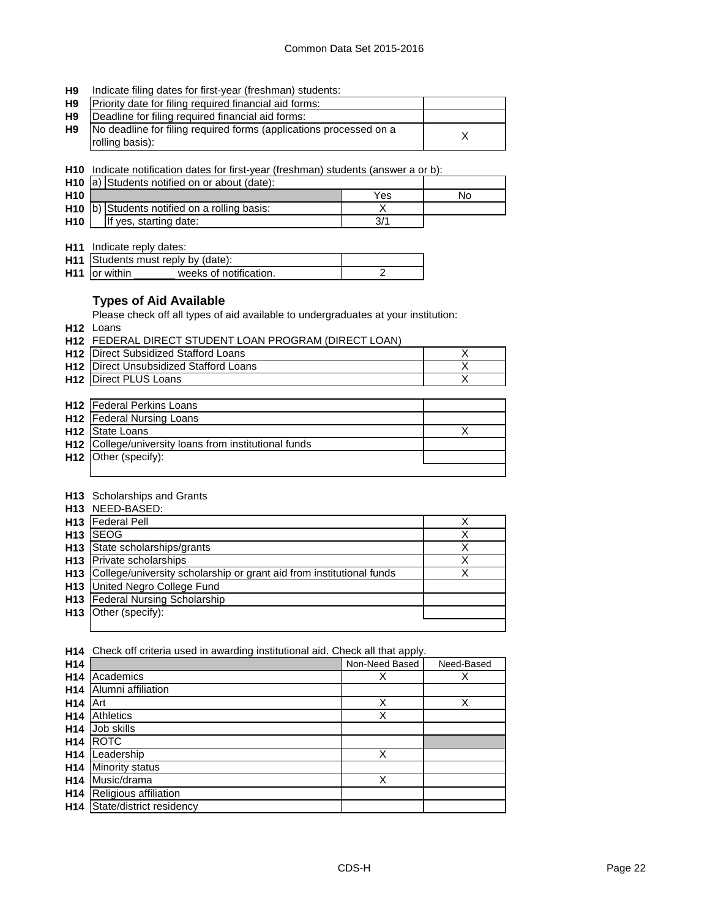#### **H9** Indicate filing dates for first-year (freshman) students:

| <b>H9</b>      | Priority date for filing required financial aid forms:                                |  |
|----------------|---------------------------------------------------------------------------------------|--|
| H <sub>9</sub> | Deadline for filing required financial aid forms:                                     |  |
| H9             | No deadline for filing required forms (applications processed on a<br>rolling basis): |  |

**H10** Indicate notification dates for first-year (freshman) students (answer a or b):

|                 | H <sub>10</sub> a) Students notified on or about (date): |                                              |     |    |
|-----------------|----------------------------------------------------------|----------------------------------------------|-----|----|
| H <sub>10</sub> |                                                          |                                              | Yes | No |
|                 |                                                          | H10 b) Students notified on a rolling basis: |     |    |
| <b>H10</b>      |                                                          | If yes, starting date:                       |     |    |

**H11** Indicate reply dates:

|                      | H11 Students must reply by (date): |  |
|----------------------|------------------------------------|--|
| <b>H11</b> or within | weeks of notification.             |  |

## **Types of Aid Available**

Please check off all types of aid available to undergraduates at your institution:

**H12** Loans

**H12** FEDERAL DIRECT STUDENT LOAN PROGRAM (DIRECT LOAN)

| <b>H12</b> IDirect Subsidized Stafford Loans  |  |
|-----------------------------------------------|--|
| <b>H12</b> Direct Unsubsidized Stafford Loans |  |
| <b>H12</b> Direct PLUS Loans                  |  |

| <b>H12</b> Federal Perkins Loans                      |  |
|-------------------------------------------------------|--|
| <b>H12</b> Federal Nursing Loans                      |  |
| <b>H12</b> State Loans                                |  |
| H12 College/university loans from institutional funds |  |
| $H12$ Other (specify):                                |  |
|                                                       |  |

## **H13** Scholarships and Grants

| <b>H13 NEED-BASED:</b>                                                   |   |
|--------------------------------------------------------------------------|---|
| H <sub>13</sub>   Federal Pell                                           |   |
| $H13$ SEOG                                                               |   |
| H13 State scholarships/grants                                            | X |
| <b>H13</b> Private scholarships                                          | X |
| H13 College/university scholarship or grant aid from institutional funds |   |
| <b>H13</b> United Negro College Fund                                     |   |
| H13 Federal Nursing Scholarship                                          |   |
| <b>H13</b> Other (specify):                                              |   |
|                                                                          |   |

| H <sub>14</sub> | Check off criteria used in awarding institutional aid. Check all that apply. |   |   |  |  |  |
|-----------------|------------------------------------------------------------------------------|---|---|--|--|--|
| H <sub>14</sub> | Non-Need Based<br>Need-Based                                                 |   |   |  |  |  |
| H <sub>14</sub> | Academics                                                                    | х | Χ |  |  |  |
| H <sub>14</sub> | Alumni affiliation                                                           |   |   |  |  |  |
| H <sub>14</sub> | Art                                                                          | Χ | Χ |  |  |  |
| H <sub>14</sub> | <b>Athletics</b>                                                             | Χ |   |  |  |  |
| H <sub>14</sub> | Job skills                                                                   |   |   |  |  |  |
| H <sub>14</sub> | <b>ROTC</b>                                                                  |   |   |  |  |  |
| H <sub>14</sub> | Leadership                                                                   | Χ |   |  |  |  |
| H <sub>14</sub> | Minority status                                                              |   |   |  |  |  |
| H <sub>14</sub> | Music/drama                                                                  | Χ |   |  |  |  |
| H <sub>14</sub> | Religious affiliation                                                        |   |   |  |  |  |
| H <sub>14</sub> | State/district residency                                                     |   |   |  |  |  |
|                 |                                                                              |   |   |  |  |  |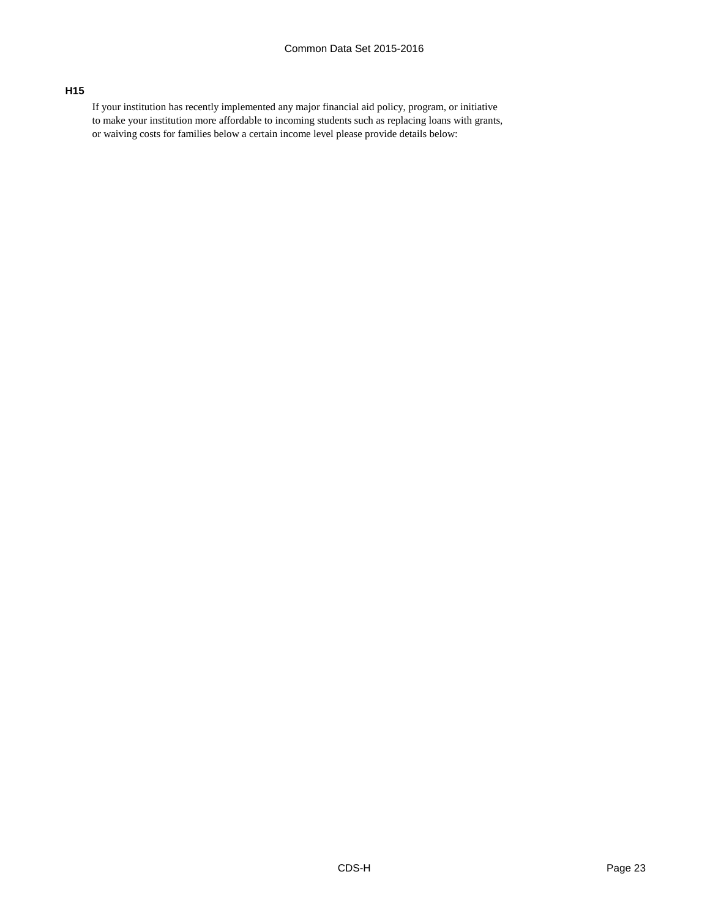# **H15**

If your institution has recently implemented any major financial aid policy, program, or initiative to make your institution more affordable to incoming students such as replacing loans with grants, or waiving costs for families below a certain income level please provide details below: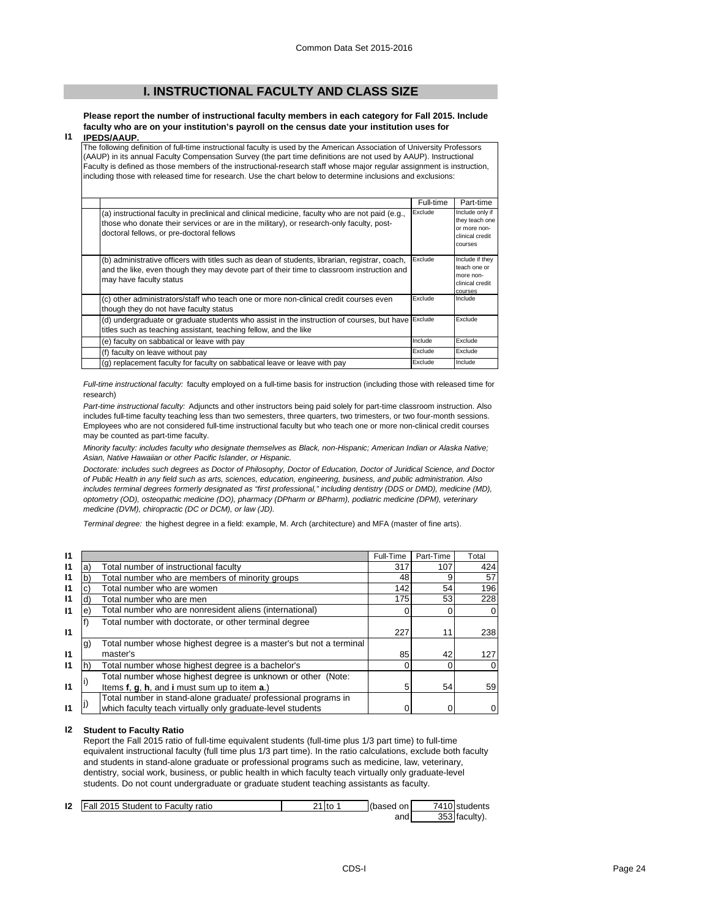# **I. INSTRUCTIONAL FACULTY AND CLASS SIZE**

**Please report the number of instructional faculty members in each category for Fall 2015. Include faculty who are on your institution's payroll on the census date your institution uses for IPEDS/AAUP.**

#### **I1**

The following definition of full-time instructional faculty is used by the American Association of University Professors (AAUP) in its annual Faculty Compensation Survey (the part time definitions are not used by AAUP). Instructional Faculty is defined as those members of the instructional-research staff whose major regular assignment is instruction, including those with released time for research. Use the chart below to determine inclusions and exclusions:

|                                                                                                                                                                                                                                          | Full-time | Part-time                                                                              |
|------------------------------------------------------------------------------------------------------------------------------------------------------------------------------------------------------------------------------------------|-----------|----------------------------------------------------------------------------------------|
| (a) instructional faculty in preclinical and clinical medicine, faculty who are not paid (e.g.,<br>those who donate their services or are in the military), or research-only faculty, post-<br>doctoral fellows, or pre-doctoral fellows | Exclude   | Include only if<br>they teach one<br>or more non-<br>clinical credit<br><b>COULSES</b> |
| (b) administrative officers with titles such as dean of students, librarian, registrar, coach,<br>and the like, even though they may devote part of their time to classroom instruction and<br>may have faculty status                   | Exclude   | Include if they<br>teach one or<br>more non-<br>clinical credit<br>courses             |
| (c) other administrators/staff who teach one or more non-clinical credit courses even<br>though they do not have faculty status                                                                                                          | Exclude   | Include                                                                                |
| (d) undergraduate or graduate students who assist in the instruction of courses, but have Exclude<br>titles such as teaching assistant, teaching fellow, and the like                                                                    |           | Exclude                                                                                |
| (e) faculty on sabbatical or leave with pay                                                                                                                                                                                              | Include   | Exclude                                                                                |
| (f) faculty on leave without pay                                                                                                                                                                                                         | Exclude   | Exclude                                                                                |
| (g) replacement faculty for faculty on sabbatical leave or leave with pay                                                                                                                                                                | Exclude   | Include                                                                                |

*Full-time instructional faculty:* faculty employed on a full-time basis for instruction (including those with released time for research)

*Part-time instructional faculty:* Adjuncts and other instructors being paid solely for part-time classroom instruction. Also includes full-time faculty teaching less than two semesters, three quarters, two trimesters, or two four-month sessions. Employees who are not considered full-time instructional faculty but who teach one or more non-clinical credit courses may be counted as part-time faculty.

*Minority faculty: includes faculty who designate themselves as Black, non-Hispanic; American Indian or Alaska Native; Asian, Native Hawaiian or other Pacific Islander, or Hispanic.* 

*Doctorate: includes such degrees as Doctor of Philosophy, Doctor of Education, Doctor of Juridical Science, and Doctor of Public Health in any field such as arts, sciences, education, engineering, business, and public administration. Also*  includes terminal degrees formerly designated as "first professional," including dentistry (DDS or DMD), medicine (MD), *optometry (OD), osteopathic medicine (DO), pharmacy (DPharm or BPharm), podiatric medicine (DPM), veterinary medicine (DVM), chiropractic (DC or DCM), or law (JD).*

*Terminal degree:* the highest degree in a field: example, M. Arch (architecture) and MFA (master of fine arts).

| 11           |    |                                                                    | Full-Time | Part-Time | Total |
|--------------|----|--------------------------------------------------------------------|-----------|-----------|-------|
| 11           | a) | Total number of instructional faculty                              | 317       | 107       | 424   |
| $\mathbf{I}$ | b  | Total number who are members of minority groups                    | 48        | 9         | 57    |
| $\mathbf{I}$ |    | Total number who are women                                         | 142       | 54        | 196   |
| $\mathbf{I}$ | d) | Total number who are men                                           | 175       | 53        | 228   |
| $\mathbf{I}$ | е  | Total number who are nonresident aliens (international)            |           |           |       |
|              |    | Total number with doctorate, or other terminal degree              |           |           |       |
| $\mathbf{I}$ |    |                                                                    | 227       | 11        | 238   |
|              | g) | Total number whose highest degree is a master's but not a terminal |           |           |       |
| 11           |    | master's                                                           | 85        | 42        | 127   |
| 11           |    | Total number whose highest degree is a bachelor's                  |           | 0         |       |
|              |    | Total number whose highest degree is unknown or other (Note:       |           |           |       |
| 11           |    | Items f, g, h, and i must sum up to item a.)                       | 5         | 54        | 59    |
|              |    | Total number in stand-alone graduate/ professional programs in     |           |           |       |
| 11           |    | which faculty teach virtually only graduate-level students         |           |           |       |

#### **I2 Student to Faculty Ratio**

Report the Fall 2015 ratio of full-time equivalent students (full-time plus 1/3 part time) to full-time equivalent instructional faculty (full time plus 1/3 part time). In the ratio calculations, exclude both faculty and students in stand-alone graduate or professional programs such as medicine, law, veterinary, dentistry, social work, business, or public health in which faculty teach virtually only graduate-level students. Do not count undergraduate or graduate student teaching assistants as faculty.

| 12 | Fall 2015 Student to Faculty ratio | Ito | (based on | 7410 students |
|----|------------------------------------|-----|-----------|---------------|
|    |                                    |     | and       | 353 faculty). |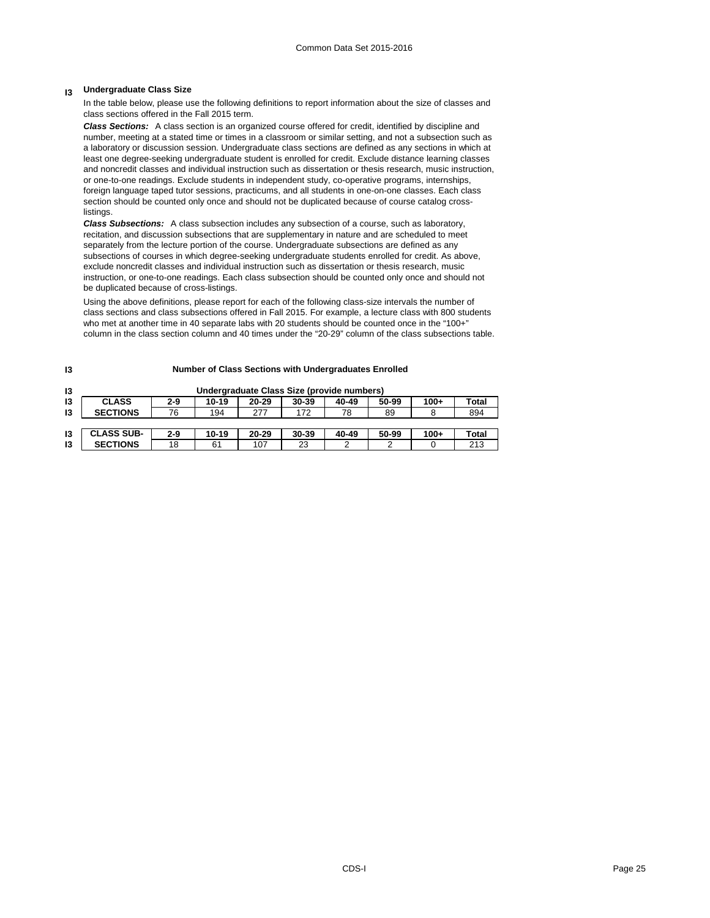## **I3 Undergraduate Class Size**

In the table below, please use the following definitions to report information about the size of classes and class sections offered in the Fall 2015 term.

*Class Sections:* A class section is an organized course offered for credit, identified by discipline and number, meeting at a stated time or times in a classroom or similar setting, and not a subsection such as a laboratory or discussion session. Undergraduate class sections are defined as any sections in which at least one degree-seeking undergraduate student is enrolled for credit. Exclude distance learning classes and noncredit classes and individual instruction such as dissertation or thesis research, music instruction, or one-to-one readings. Exclude students in independent study, co-operative programs, internships, foreign language taped tutor sessions, practicums, and all students in one-on-one classes. Each class section should be counted only once and should not be duplicated because of course catalog crosslistings.

*Class Subsections:* A class subsection includes any subsection of a course, such as laboratory, recitation, and discussion subsections that are supplementary in nature and are scheduled to meet separately from the lecture portion of the course. Undergraduate subsections are defined as any subsections of courses in which degree-seeking undergraduate students enrolled for credit. As above, exclude noncredit classes and individual instruction such as dissertation or thesis research, music instruction, or one-to-one readings. Each class subsection should be counted only once and should not be duplicated because of cross-listings.

Using the above definitions, please report for each of the following class-size intervals the number of class sections and class subsections offered in Fall 2015. For example, a lecture class with 800 students who met at another time in 40 separate labs with 20 students should be counted once in the "100+" column in the class section column and 40 times under the "20-29" column of the class subsections table.

**Number of Class Sections with Undergraduates Enrolled**

| 13 | Undergraduate Class Size (provide numbers) |         |       |       |       |       |       |        |              |  |  |  |
|----|--------------------------------------------|---------|-------|-------|-------|-------|-------|--------|--------------|--|--|--|
| 13 | <b>CLASS</b>                               | $2-9$   | 10-19 | 20-29 | 30-39 | 40-49 | 50-99 | $100+$ | <b>Total</b> |  |  |  |
| 13 | <b>SECTIONS</b>                            | 76      | 194   | 277   | 172   | 78    | 89    |        | 894          |  |  |  |
|    |                                            |         |       |       |       |       |       |        |              |  |  |  |
| 13 | <b>CLASS SUB-</b>                          | $2 - 9$ | 10-19 | 20-29 | 30-39 | 40-49 | 50-99 | $100+$ | Total        |  |  |  |
| 13 | <b>SECTIONS</b>                            | 18      | 61    | 107   | 23    |       | 2     |        | 213          |  |  |  |

#### **I3**

#### CDS-I Page 25